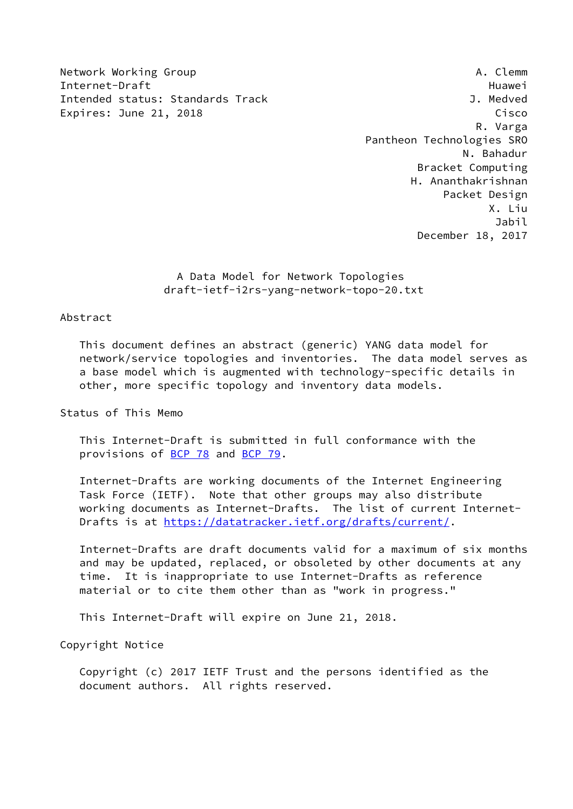Network Working Group **A. Clemm** A. Clemm Internet-Draft Huawei Intended status: Standards Track J. Medved Expires: June 21, 2018 Cisco

 R. Varga Pantheon Technologies SRO N. Bahadur Bracket Computing H. Ananthakrishnan Packet Design X. Liu Jabil December 18, 2017

> A Data Model for Network Topologies draft-ietf-i2rs-yang-network-topo-20.txt

# Abstract

 This document defines an abstract (generic) YANG data model for network/service topologies and inventories. The data model serves as a base model which is augmented with technology-specific details in other, more specific topology and inventory data models.

Status of This Memo

 This Internet-Draft is submitted in full conformance with the provisions of [BCP 78](https://datatracker.ietf.org/doc/pdf/bcp78) and [BCP 79](https://datatracker.ietf.org/doc/pdf/bcp79).

 Internet-Drafts are working documents of the Internet Engineering Task Force (IETF). Note that other groups may also distribute working documents as Internet-Drafts. The list of current Internet- Drafts is at<https://datatracker.ietf.org/drafts/current/>.

 Internet-Drafts are draft documents valid for a maximum of six months and may be updated, replaced, or obsoleted by other documents at any time. It is inappropriate to use Internet-Drafts as reference material or to cite them other than as "work in progress."

This Internet-Draft will expire on June 21, 2018.

Copyright Notice

 Copyright (c) 2017 IETF Trust and the persons identified as the document authors. All rights reserved.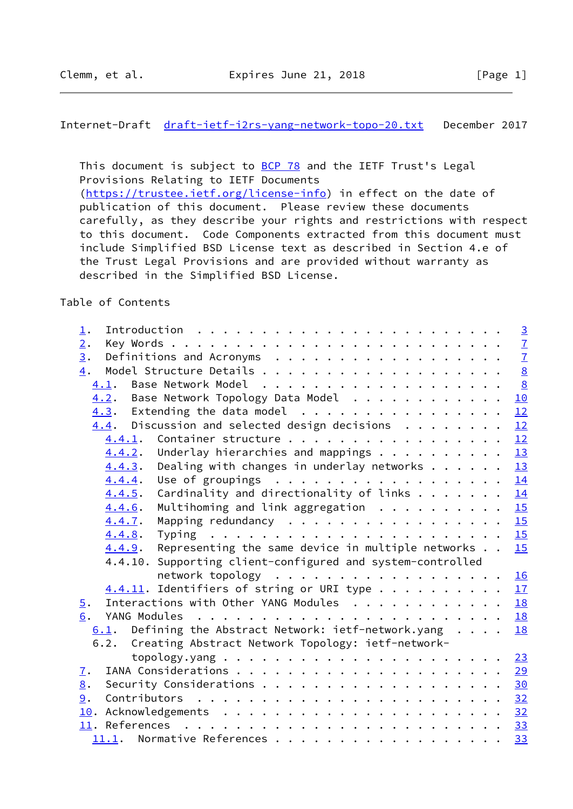Internet-Draft [draft-ietf-i2rs-yang-network-topo-20.txt](https://datatracker.ietf.org/doc/pdf/draft-ietf-i2rs-yang-network-topo-20.txt) December 2017

This document is subject to **[BCP 78](https://datatracker.ietf.org/doc/pdf/bcp78)** and the IETF Trust's Legal Provisions Relating to IETF Documents [\(https://trustee.ietf.org/license-info](https://trustee.ietf.org/license-info)) in effect on the date of publication of this document. Please review these documents carefully, as they describe your rights and restrictions with respect to this document. Code Components extracted from this document must include Simplified BSD License text as described in Section 4.e of the Trust Legal Provisions and are provided without warranty as described in the Simplified BSD License.

Table of Contents

| 1.               |                                                                               |  |           |
|------------------|-------------------------------------------------------------------------------|--|-----------|
| 2.               |                                                                               |  |           |
| $\overline{3}$ . |                                                                               |  |           |
| 4.               |                                                                               |  |           |
|                  |                                                                               |  |           |
|                  | 4.2. Base Network Topology Data Model                                         |  | 10        |
|                  | $4.3.$ Extending the data model                                               |  | 12        |
|                  | $4.4$ . Discussion and selected design decisions                              |  | 12        |
| 4.4.1.           | Container structure                                                           |  | 12        |
| 4.4.2.           | Underlay hierarchies and mappings                                             |  | 13        |
| 4.4.3.           | Dealing with changes in underlay networks $\cdots$ $\cdots$ $\frac{13}{2}$    |  |           |
| 4.4.4.           | Use of groupings $\ldots$ 14                                                  |  |           |
| 4.4.5.           | Cardinality and directionality of links $\frac{14}{1}$                        |  |           |
| 4.4.6.           | Multihoming and link aggregation $\ldots \ldots \ldots \ldots$                |  |           |
| 4.4.7.           | Mapping redundancy $\cdots$ , $\cdots$ , $\cdots$ , $\cdots$ , $\frac{15}{2}$ |  |           |
| 4.4.8.           |                                                                               |  |           |
| 4.4.9.           | Representing the same device in multiple networks                             |  | 15        |
|                  | 4.4.10. Supporting client-configured and system-controlled                    |  |           |
|                  | network topology 16                                                           |  |           |
|                  | $4.4.11$ . Identifiers of string or URI type 17                               |  |           |
| $\overline{5}$ . | Interactions with Other YANG Modules                                          |  | <b>18</b> |
| 6.               |                                                                               |  |           |
| 6.1.             | Defining the Abstract Network: ietf-network.yang                              |  | 18        |
| 6.2.             | Creating Abstract Network Topology: ietf-network-                             |  |           |
|                  |                                                                               |  |           |
| $\mathbf{I}$ .   |                                                                               |  | 29        |
| 8.               | Security Considerations 30                                                    |  |           |
| 9.               |                                                                               |  |           |
|                  |                                                                               |  |           |
|                  |                                                                               |  |           |
|                  | 11.1. Normative References                                                    |  | 33        |
|                  |                                                                               |  |           |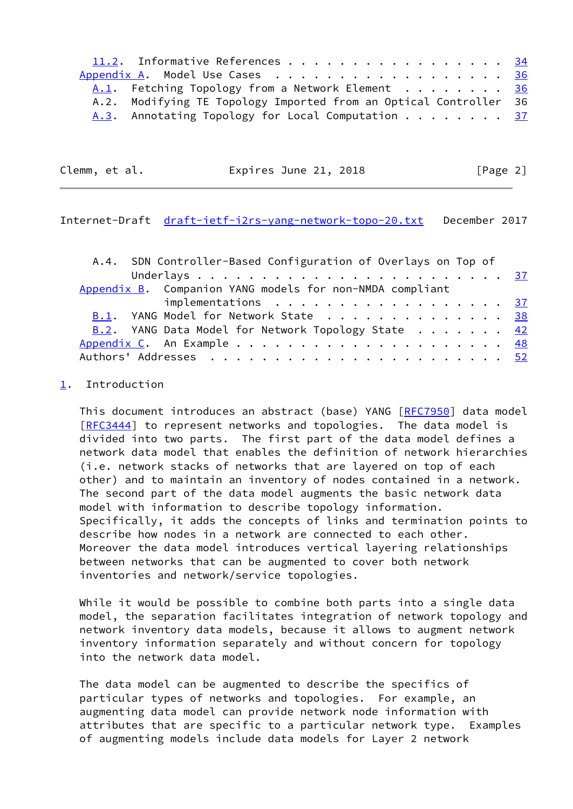| 11.2. Informative References 34                                   |  |
|-------------------------------------------------------------------|--|
| Appendix A. Model Use Cases 36                                    |  |
| A.1. Fetching Topology from a Network Element 36                  |  |
| A.2. Modifying TE Topology Imported from an Optical Controller 36 |  |
| A.3. Annotating Topology for Local Computation 37                 |  |

| Clemm, et al. | Expires June 21, 2018 | [Page 2] |
|---------------|-----------------------|----------|
|---------------|-----------------------|----------|

<span id="page-2-1"></span>Internet-Draft [draft-ietf-i2rs-yang-network-topo-20.txt](https://datatracker.ietf.org/doc/pdf/draft-ietf-i2rs-yang-network-topo-20.txt) December 2017

|                                                          | A.4. SDN Controller-Based Configuration of Overlays on Top of             |  |  |  |  |  |  |  |  |  |  |
|----------------------------------------------------------|---------------------------------------------------------------------------|--|--|--|--|--|--|--|--|--|--|
|                                                          |                                                                           |  |  |  |  |  |  |  |  |  |  |
| Appendix B. Companion YANG models for non-NMDA compliant |                                                                           |  |  |  |  |  |  |  |  |  |  |
|                                                          | implementations $\ldots \ldots \ldots \ldots \ldots \ldots \frac{37}{37}$ |  |  |  |  |  |  |  |  |  |  |
|                                                          | B.1. YANG Model for Network State 38                                      |  |  |  |  |  |  |  |  |  |  |
|                                                          | B.2. YANG Data Model for Network Topology State 42                        |  |  |  |  |  |  |  |  |  |  |
|                                                          |                                                                           |  |  |  |  |  |  |  |  |  |  |
|                                                          |                                                                           |  |  |  |  |  |  |  |  |  |  |

# <span id="page-2-0"></span>[1](#page-2-0). Introduction

 This document introduces an abstract (base) YANG [\[RFC7950](https://datatracker.ietf.org/doc/pdf/rfc7950)] data model [\[RFC3444](https://datatracker.ietf.org/doc/pdf/rfc3444)] to represent networks and topologies. The data model is divided into two parts. The first part of the data model defines a network data model that enables the definition of network hierarchies (i.e. network stacks of networks that are layered on top of each other) and to maintain an inventory of nodes contained in a network. The second part of the data model augments the basic network data model with information to describe topology information. Specifically, it adds the concepts of links and termination points to describe how nodes in a network are connected to each other. Moreover the data model introduces vertical layering relationships between networks that can be augmented to cover both network inventories and network/service topologies.

 While it would be possible to combine both parts into a single data model, the separation facilitates integration of network topology and network inventory data models, because it allows to augment network inventory information separately and without concern for topology into the network data model.

 The data model can be augmented to describe the specifics of particular types of networks and topologies. For example, an augmenting data model can provide network node information with attributes that are specific to a particular network type. Examples of augmenting models include data models for Layer 2 network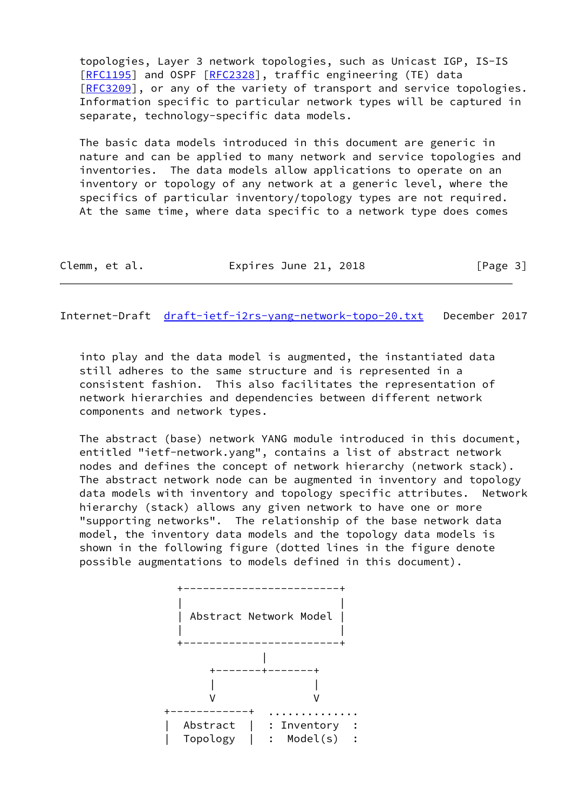topologies, Layer 3 network topologies, such as Unicast IGP, IS-IS [\[RFC1195](https://datatracker.ietf.org/doc/pdf/rfc1195)] and OSPF [[RFC2328\]](https://datatracker.ietf.org/doc/pdf/rfc2328), traffic engineering (TE) data [\[RFC3209](https://datatracker.ietf.org/doc/pdf/rfc3209)], or any of the variety of transport and service topologies. Information specific to particular network types will be captured in separate, technology-specific data models.

 The basic data models introduced in this document are generic in nature and can be applied to many network and service topologies and inventories. The data models allow applications to operate on an inventory or topology of any network at a generic level, where the specifics of particular inventory/topology types are not required. At the same time, where data specific to a network type does comes

| Clemm, et al. |  | Expires June 21, 2018 |  | [Page 3] |
|---------------|--|-----------------------|--|----------|
|---------------|--|-----------------------|--|----------|

Internet-Draft [draft-ietf-i2rs-yang-network-topo-20.txt](https://datatracker.ietf.org/doc/pdf/draft-ietf-i2rs-yang-network-topo-20.txt) December 2017

 into play and the data model is augmented, the instantiated data still adheres to the same structure and is represented in a consistent fashion. This also facilitates the representation of network hierarchies and dependencies between different network components and network types.

 The abstract (base) network YANG module introduced in this document, entitled "ietf-network.yang", contains a list of abstract network nodes and defines the concept of network hierarchy (network stack). The abstract network node can be augmented in inventory and topology data models with inventory and topology specific attributes. Network hierarchy (stack) allows any given network to have one or more "supporting networks". The relationship of the base network data model, the inventory data models and the topology data models is shown in the following figure (dotted lines in the figure denote possible augmentations to models defined in this document).

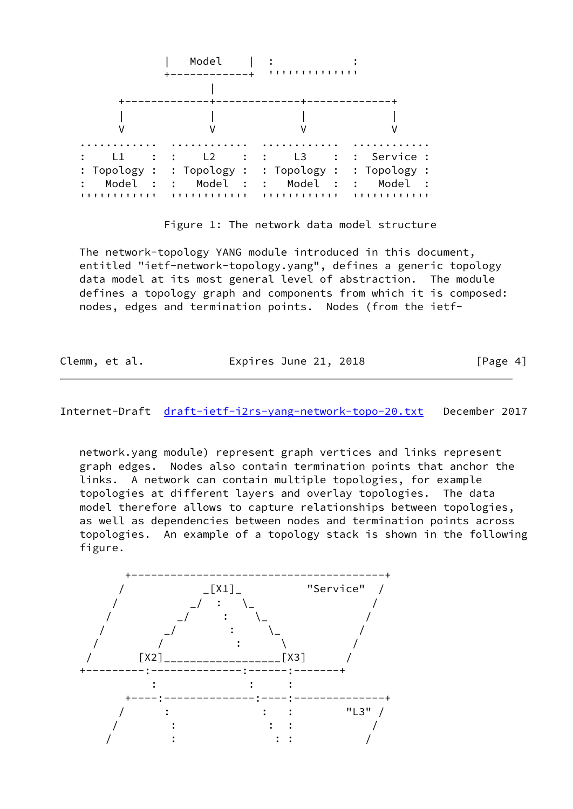

Figure 1: The network data model structure

 The network-topology YANG module introduced in this document, entitled "ietf-network-topology.yang", defines a generic topology data model at its most general level of abstraction. The module defines a topology graph and components from which it is composed: nodes, edges and termination points. Nodes (from the ietf-

| Clemm, et al. | Expires June 21, 2018 | [Page 4] |
|---------------|-----------------------|----------|
|---------------|-----------------------|----------|

Internet-Draft [draft-ietf-i2rs-yang-network-topo-20.txt](https://datatracker.ietf.org/doc/pdf/draft-ietf-i2rs-yang-network-topo-20.txt) December 2017

 network.yang module) represent graph vertices and links represent graph edges. Nodes also contain termination points that anchor the links. A network can contain multiple topologies, for example topologies at different layers and overlay topologies. The data model therefore allows to capture relationships between topologies, as well as dependencies between nodes and termination points across topologies. An example of a topology stack is shown in the following figure.

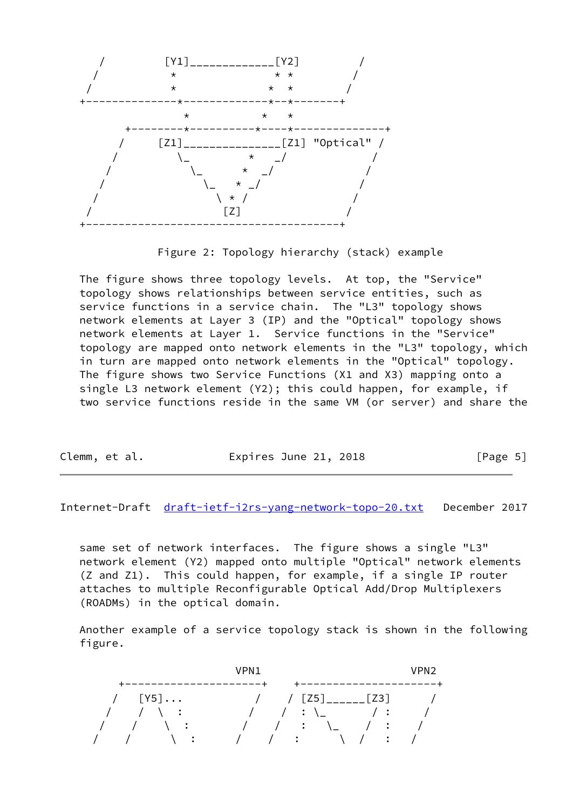

Figure 2: Topology hierarchy (stack) example

 The figure shows three topology levels. At top, the "Service" topology shows relationships between service entities, such as service functions in a service chain. The "L3" topology shows network elements at Layer 3 (IP) and the "Optical" topology shows network elements at Layer 1. Service functions in the "Service" topology are mapped onto network elements in the "L3" topology, which in turn are mapped onto network elements in the "Optical" topology. The figure shows two Service Functions (X1 and X3) mapping onto a single L3 network element (Y2); this could happen, for example, if two service functions reside in the same VM (or server) and share the

| Clemm, et al. | Expires June 21, 2018 | [Page 5] |
|---------------|-----------------------|----------|
|---------------|-----------------------|----------|

Internet-Draft [draft-ietf-i2rs-yang-network-topo-20.txt](https://datatracker.ietf.org/doc/pdf/draft-ietf-i2rs-yang-network-topo-20.txt) December 2017

 same set of network interfaces. The figure shows a single "L3" network element (Y2) mapped onto multiple "Optical" network elements (Z and Z1). This could happen, for example, if a single IP router attaches to multiple Reconfigurable Optical Add/Drop Multiplexers (ROADMs) in the optical domain.

 Another example of a service topology stack is shown in the following figure.

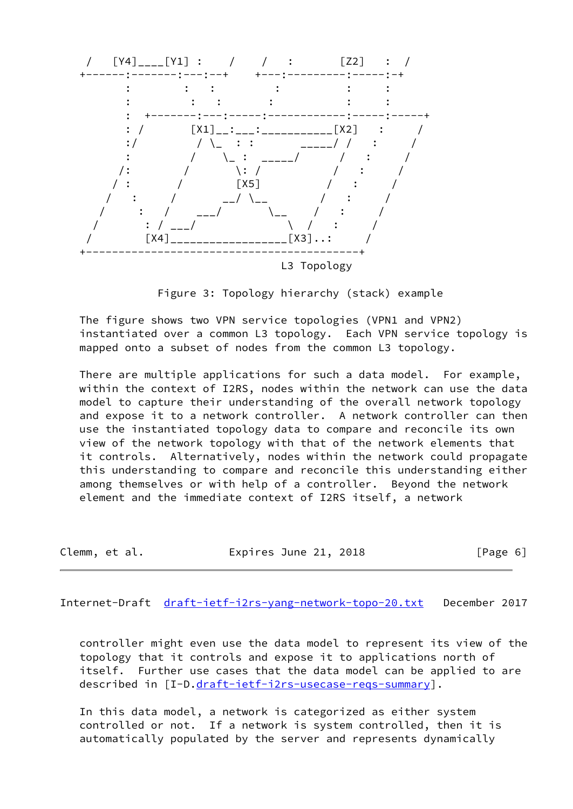

Figure 3: Topology hierarchy (stack) example

 The figure shows two VPN service topologies (VPN1 and VPN2) instantiated over a common L3 topology. Each VPN service topology is mapped onto a subset of nodes from the common L3 topology.

 There are multiple applications for such a data model. For example, within the context of I2RS, nodes within the network can use the data model to capture their understanding of the overall network topology and expose it to a network controller. A network controller can then use the instantiated topology data to compare and reconcile its own view of the network topology with that of the network elements that it controls. Alternatively, nodes within the network could propagate this understanding to compare and reconcile this understanding either among themselves or with help of a controller. Beyond the network element and the immediate context of I2RS itself, a network

|  | Clemm, et al. | Expires June 21, 2018 | [Page 6] |
|--|---------------|-----------------------|----------|
|--|---------------|-----------------------|----------|

<span id="page-6-0"></span>Internet-Draft [draft-ietf-i2rs-yang-network-topo-20.txt](https://datatracker.ietf.org/doc/pdf/draft-ietf-i2rs-yang-network-topo-20.txt) December 2017

 controller might even use the data model to represent its view of the topology that it controls and expose it to applications north of itself. Further use cases that the data model can be applied to are described in [I-D[.draft-ietf-i2rs-usecase-reqs-summary](https://datatracker.ietf.org/doc/pdf/draft-ietf-i2rs-usecase-reqs-summary)].

 In this data model, a network is categorized as either system controlled or not. If a network is system controlled, then it is automatically populated by the server and represents dynamically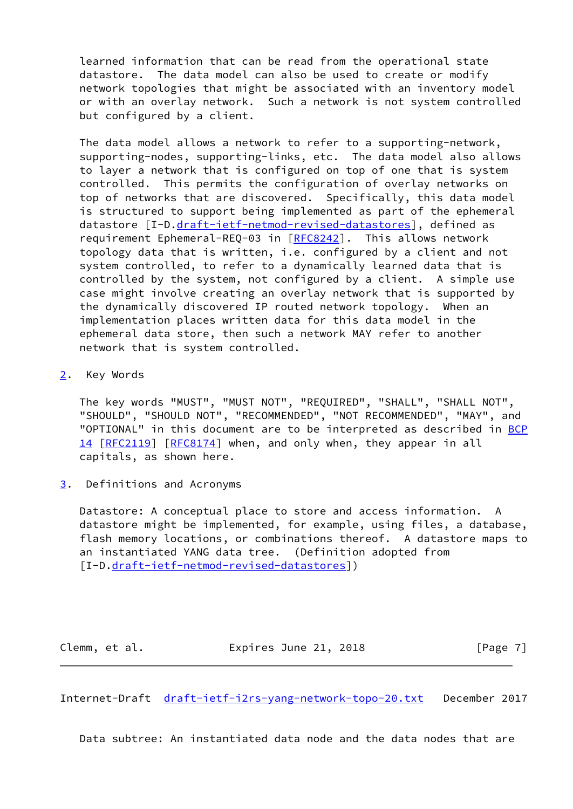learned information that can be read from the operational state datastore. The data model can also be used to create or modify network topologies that might be associated with an inventory model or with an overlay network. Such a network is not system controlled but configured by a client.

 The data model allows a network to refer to a supporting-network, supporting-nodes, supporting-links, etc. The data model also allows to layer a network that is configured on top of one that is system controlled. This permits the configuration of overlay networks on top of networks that are discovered. Specifically, this data model is structured to support being implemented as part of the ephemeral datastore [I-D.[draft-ietf-netmod-revised-datastores\]](https://datatracker.ietf.org/doc/pdf/draft-ietf-netmod-revised-datastores), defined as requirement Ephemeral-REQ-03 in [\[RFC8242](https://datatracker.ietf.org/doc/pdf/rfc8242)]. This allows network topology data that is written, i.e. configured by a client and not system controlled, to refer to a dynamically learned data that is controlled by the system, not configured by a client. A simple use case might involve creating an overlay network that is supported by the dynamically discovered IP routed network topology. When an implementation places written data for this data model in the ephemeral data store, then such a network MAY refer to another network that is system controlled.

<span id="page-7-0"></span>[2](#page-7-0). Key Words

 The key words "MUST", "MUST NOT", "REQUIRED", "SHALL", "SHALL NOT", "SHOULD", "SHOULD NOT", "RECOMMENDED", "NOT RECOMMENDED", "MAY", and "OPTIONAL" in this document are to be interpreted as described in [BCP](https://datatracker.ietf.org/doc/pdf/bcp14) [14](https://datatracker.ietf.org/doc/pdf/bcp14) [[RFC2119\]](https://datatracker.ietf.org/doc/pdf/rfc2119) [\[RFC8174](https://datatracker.ietf.org/doc/pdf/rfc8174)] when, and only when, they appear in all capitals, as shown here.

<span id="page-7-1"></span>[3](#page-7-1). Definitions and Acronyms

 Datastore: A conceptual place to store and access information. A datastore might be implemented, for example, using files, a database, flash memory locations, or combinations thereof. A datastore maps to an instantiated YANG data tree. (Definition adopted from [I-D[.draft-ietf-netmod-revised-datastores](https://datatracker.ietf.org/doc/pdf/draft-ietf-netmod-revised-datastores)])

Clemm, et al. **Expires June 21, 2018** [Page 7]

<span id="page-7-2"></span>Internet-Draft [draft-ietf-i2rs-yang-network-topo-20.txt](https://datatracker.ietf.org/doc/pdf/draft-ietf-i2rs-yang-network-topo-20.txt) December 2017

Data subtree: An instantiated data node and the data nodes that are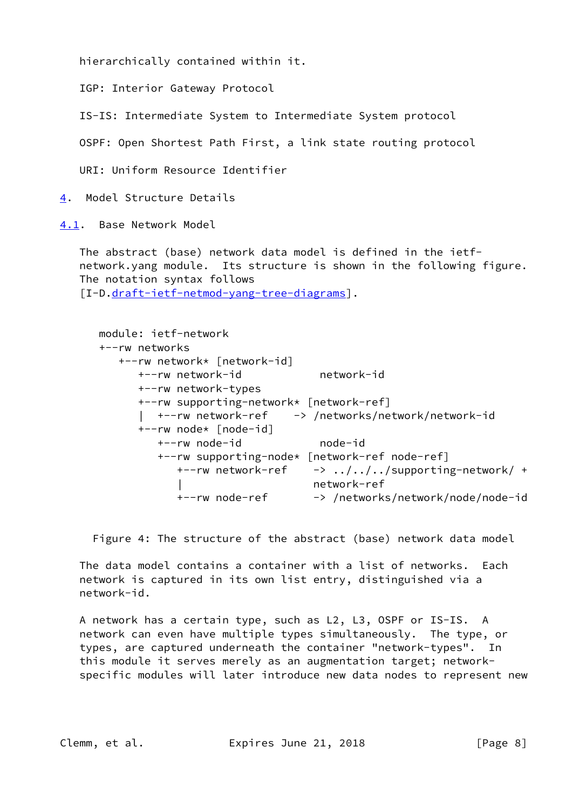hierarchically contained within it.

IGP: Interior Gateway Protocol

IS-IS: Intermediate System to Intermediate System protocol

OSPF: Open Shortest Path First, a link state routing protocol

URI: Uniform Resource Identifier

<span id="page-8-0"></span>[4](#page-8-0). Model Structure Details

<span id="page-8-1"></span>[4.1](#page-8-1). Base Network Model

 The abstract (base) network data model is defined in the ietf network.yang module. Its structure is shown in the following figure. The notation syntax follows [I-D[.draft-ietf-netmod-yang-tree-diagrams](https://datatracker.ietf.org/doc/pdf/draft-ietf-netmod-yang-tree-diagrams)].

 module: ietf-network +--rw networks +--rw network\* [network-id] +--rw network-id network-id +--rw network-types +--rw supporting-network\* [network-ref] | +--rw network-ref -> /networks/network/network-id +--rw node\* [node-id] +--rw node-id node-id +--rw supporting-node\* [network-ref node-ref]  $+--rw$  network-ref  $->> . ./ . ./ . ./supporting-network/ +$  | network-ref +--rw node-ref -> /networks/network/node/node-id

Figure 4: The structure of the abstract (base) network data model

 The data model contains a container with a list of networks. Each network is captured in its own list entry, distinguished via a network-id.

 A network has a certain type, such as L2, L3, OSPF or IS-IS. A network can even have multiple types simultaneously. The type, or types, are captured underneath the container "network-types". In this module it serves merely as an augmentation target; network specific modules will later introduce new data nodes to represent new

Clemm, et al. Expires June 21, 2018 [Page 8]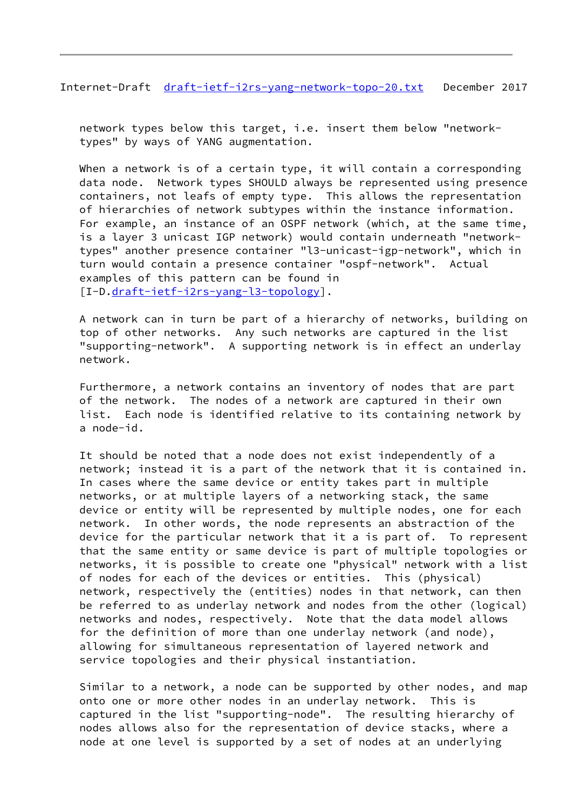Internet-Draft [draft-ietf-i2rs-yang-network-topo-20.txt](https://datatracker.ietf.org/doc/pdf/draft-ietf-i2rs-yang-network-topo-20.txt) December 2017

 network types below this target, i.e. insert them below "network types" by ways of YANG augmentation.

When a network is of a certain type, it will contain a corresponding data node. Network types SHOULD always be represented using presence containers, not leafs of empty type. This allows the representation of hierarchies of network subtypes within the instance information. For example, an instance of an OSPF network (which, at the same time, is a layer 3 unicast IGP network) would contain underneath "network types" another presence container "l3-unicast-igp-network", which in turn would contain a presence container "ospf-network". Actual examples of this pattern can be found in [I-D[.draft-ietf-i2rs-yang-l3-topology](https://datatracker.ietf.org/doc/pdf/draft-ietf-i2rs-yang-l3-topology)].

 A network can in turn be part of a hierarchy of networks, building on top of other networks. Any such networks are captured in the list "supporting-network". A supporting network is in effect an underlay network.

 Furthermore, a network contains an inventory of nodes that are part of the network. The nodes of a network are captured in their own list. Each node is identified relative to its containing network by a node-id.

 It should be noted that a node does not exist independently of a network; instead it is a part of the network that it is contained in. In cases where the same device or entity takes part in multiple networks, or at multiple layers of a networking stack, the same device or entity will be represented by multiple nodes, one for each network. In other words, the node represents an abstraction of the device for the particular network that it a is part of. To represent that the same entity or same device is part of multiple topologies or networks, it is possible to create one "physical" network with a list of nodes for each of the devices or entities. This (physical) network, respectively the (entities) nodes in that network, can then be referred to as underlay network and nodes from the other (logical) networks and nodes, respectively. Note that the data model allows for the definition of more than one underlay network (and node), allowing for simultaneous representation of layered network and service topologies and their physical instantiation.

 Similar to a network, a node can be supported by other nodes, and map onto one or more other nodes in an underlay network. This is captured in the list "supporting-node". The resulting hierarchy of nodes allows also for the representation of device stacks, where a node at one level is supported by a set of nodes at an underlying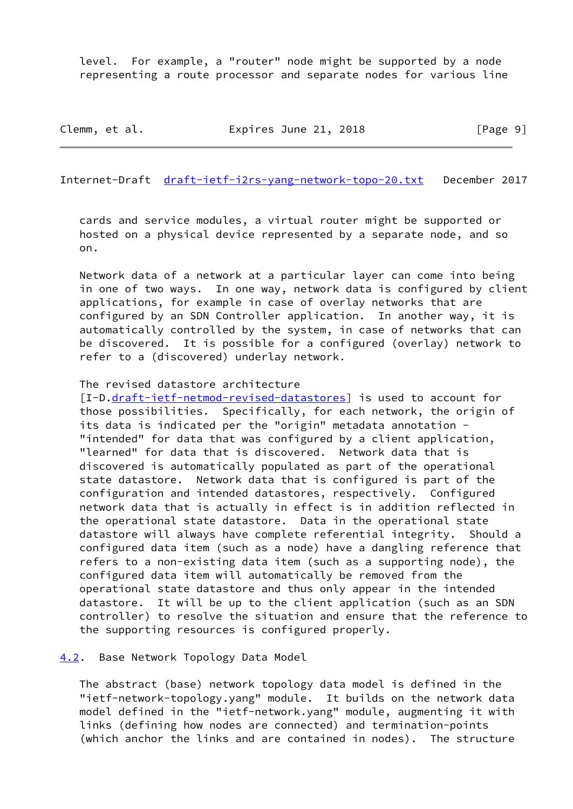level. For example, a "router" node might be supported by a node representing a route processor and separate nodes for various line

Clemm, et al. **Expires June 21, 2018** [Page 9]

<span id="page-10-1"></span>Internet-Draft [draft-ietf-i2rs-yang-network-topo-20.txt](https://datatracker.ietf.org/doc/pdf/draft-ietf-i2rs-yang-network-topo-20.txt) December 2017

 cards and service modules, a virtual router might be supported or hosted on a physical device represented by a separate node, and so on.

 Network data of a network at a particular layer can come into being in one of two ways. In one way, network data is configured by client applications, for example in case of overlay networks that are configured by an SDN Controller application. In another way, it is automatically controlled by the system, in case of networks that can be discovered. It is possible for a configured (overlay) network to refer to a (discovered) underlay network.

## The revised datastore architecture

[I-D[.draft-ietf-netmod-revised-datastores](https://datatracker.ietf.org/doc/pdf/draft-ietf-netmod-revised-datastores)] is used to account for those possibilities. Specifically, for each network, the origin of its data is indicated per the "origin" metadata annotation - "intended" for data that was configured by a client application, "learned" for data that is discovered. Network data that is discovered is automatically populated as part of the operational state datastore. Network data that is configured is part of the configuration and intended datastores, respectively. Configured network data that is actually in effect is in addition reflected in the operational state datastore. Data in the operational state datastore will always have complete referential integrity. Should a configured data item (such as a node) have a dangling reference that refers to a non-existing data item (such as a supporting node), the configured data item will automatically be removed from the operational state datastore and thus only appear in the intended datastore. It will be up to the client application (such as an SDN controller) to resolve the situation and ensure that the reference to the supporting resources is configured properly.

#### <span id="page-10-0"></span>[4.2](#page-10-0). Base Network Topology Data Model

 The abstract (base) network topology data model is defined in the "ietf-network-topology.yang" module. It builds on the network data model defined in the "ietf-network.yang" module, augmenting it with links (defining how nodes are connected) and termination-points (which anchor the links and are contained in nodes). The structure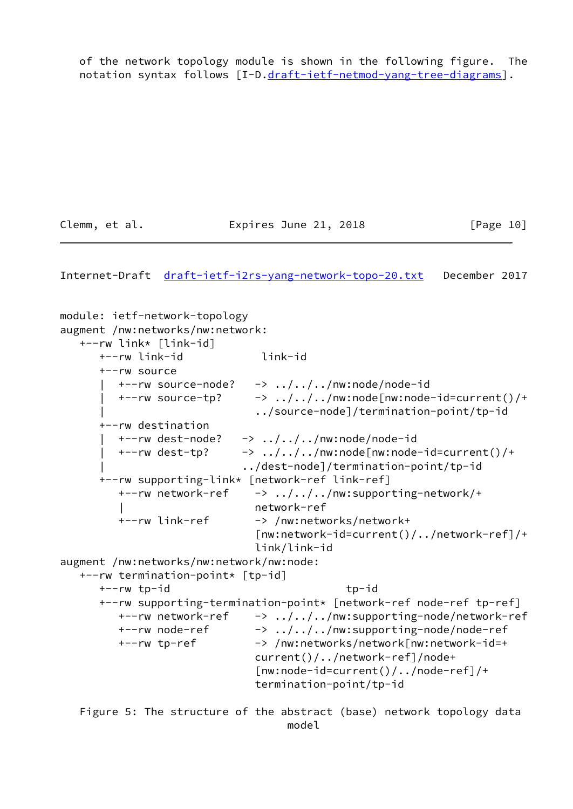of the network topology module is shown in the following figure. The notation syntax follows [I-D[.draft-ietf-netmod-yang-tree-diagrams](https://datatracker.ietf.org/doc/pdf/draft-ietf-netmod-yang-tree-diagrams)].

Clemm, et al. **Expires June 21, 2018** [Page 10]

Internet-Draft [draft-ietf-i2rs-yang-network-topo-20.txt](https://datatracker.ietf.org/doc/pdf/draft-ietf-i2rs-yang-network-topo-20.txt) December 2017

module: ietf-network-topology augment /nw:networks/nw:network: +--rw link\* [link-id] +--rw link-id link-id +--rw source  $+--rw$  source-node?  $->>$  ../../../nw:node/node-id  $+--rw$  source-tp?  $\rightarrow$  ../../../nw:node[nw:node-id=current()/+ | ../source-node]/termination-point/tp-id +--rw destination  $+--rw$  dest-node?  $->> . ./. ./nw: node/node-id$  $+--rw$  dest-tp?  $\rightarrow$  ../../../nw:node[nw:node-id=current()/+ | ../dest-node]/termination-point/tp-id +--rw supporting-link\* [network-ref link-ref] +--rw network-ref -> ../../../nw:supporting-network/+ | network-ref +--rw link-ref -> /nw:networks/network+ [nw:network-id=current()/../network-ref]/+ link/link-id augment /nw:networks/nw:network/nw:node: +--rw termination-point\* [tp-id] +--rw tp-id tp-id +--rw supporting-termination-point\* [network-ref node-ref tp-ref] +--rw network-ref -> ../../../nw:supporting-node/network-ref +--rw node-ref -> ../../../nw:supporting-node/node-ref +--rw tp-ref -> /nw:networks/network[nw:network-id=+ current()/../network-ref]/node+ [nw:node-id=current()/../node-ref]/+ termination-point/tp-id Figure 5: The structure of the abstract (base) network topology data

model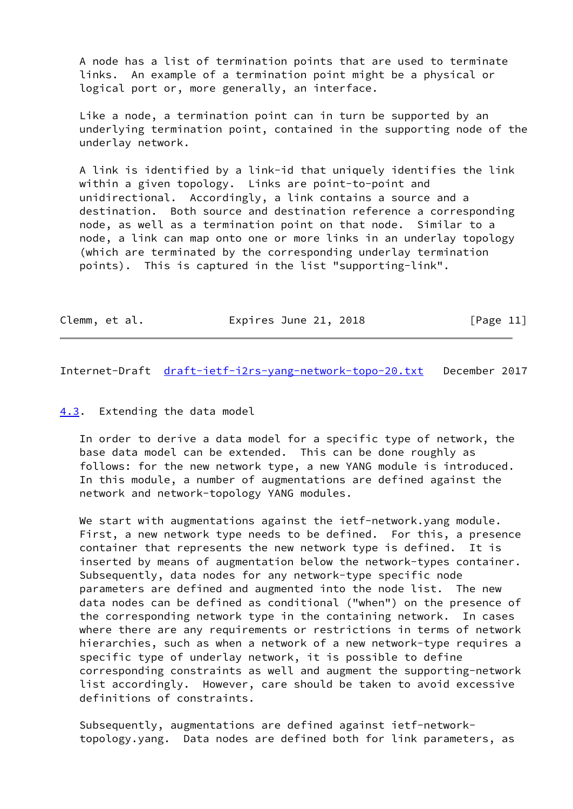A node has a list of termination points that are used to terminate links. An example of a termination point might be a physical or logical port or, more generally, an interface.

 Like a node, a termination point can in turn be supported by an underlying termination point, contained in the supporting node of the underlay network.

 A link is identified by a link-id that uniquely identifies the link within a given topology. Links are point-to-point and unidirectional. Accordingly, a link contains a source and a destination. Both source and destination reference a corresponding node, as well as a termination point on that node. Similar to a node, a link can map onto one or more links in an underlay topology (which are terminated by the corresponding underlay termination points). This is captured in the list "supporting-link".

| Clemm, et al. | Expires June 21, 2018 | [Page 11] |
|---------------|-----------------------|-----------|
|---------------|-----------------------|-----------|

<span id="page-12-1"></span>Internet-Draft [draft-ietf-i2rs-yang-network-topo-20.txt](https://datatracker.ietf.org/doc/pdf/draft-ietf-i2rs-yang-network-topo-20.txt) December 2017

## <span id="page-12-0"></span>[4.3](#page-12-0). Extending the data model

 In order to derive a data model for a specific type of network, the base data model can be extended. This can be done roughly as follows: for the new network type, a new YANG module is introduced. In this module, a number of augmentations are defined against the network and network-topology YANG modules.

We start with augmentations against the ietf-network.yang module. First, a new network type needs to be defined. For this, a presence container that represents the new network type is defined. It is inserted by means of augmentation below the network-types container. Subsequently, data nodes for any network-type specific node parameters are defined and augmented into the node list. The new data nodes can be defined as conditional ("when") on the presence of the corresponding network type in the containing network. In cases where there are any requirements or restrictions in terms of network hierarchies, such as when a network of a new network-type requires a specific type of underlay network, it is possible to define corresponding constraints as well and augment the supporting-network list accordingly. However, care should be taken to avoid excessive definitions of constraints.

 Subsequently, augmentations are defined against ietf-network topology.yang. Data nodes are defined both for link parameters, as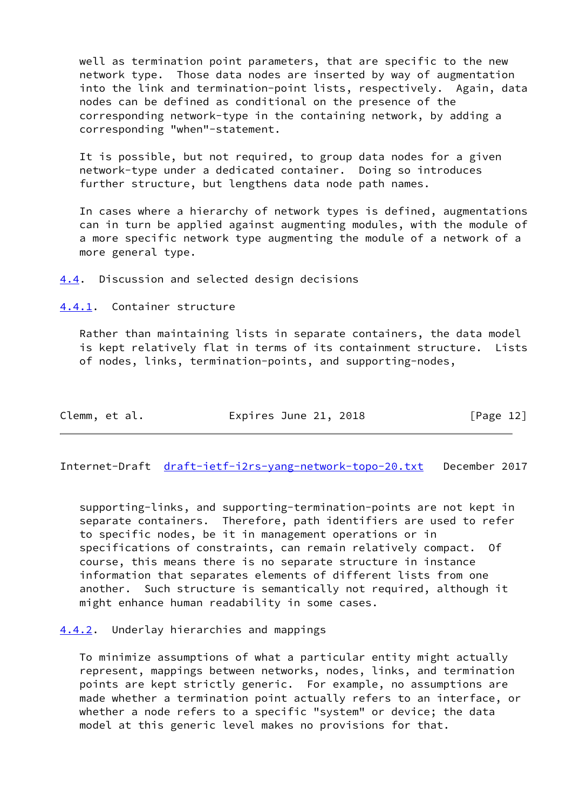well as termination point parameters, that are specific to the new network type. Those data nodes are inserted by way of augmentation into the link and termination-point lists, respectively. Again, data nodes can be defined as conditional on the presence of the corresponding network-type in the containing network, by adding a corresponding "when"-statement.

 It is possible, but not required, to group data nodes for a given network-type under a dedicated container. Doing so introduces further structure, but lengthens data node path names.

 In cases where a hierarchy of network types is defined, augmentations can in turn be applied against augmenting modules, with the module of a more specific network type augmenting the module of a network of a more general type.

<span id="page-13-0"></span>[4.4](#page-13-0). Discussion and selected design decisions

<span id="page-13-1"></span>[4.4.1](#page-13-1). Container structure

 Rather than maintaining lists in separate containers, the data model is kept relatively flat in terms of its containment structure. Lists of nodes, links, termination-points, and supporting-nodes,

| Clemm, et al. |  | Expires June 21, 2018 |  | [Page 12] |  |
|---------------|--|-----------------------|--|-----------|--|
|               |  |                       |  |           |  |

<span id="page-13-3"></span>Internet-Draft [draft-ietf-i2rs-yang-network-topo-20.txt](https://datatracker.ietf.org/doc/pdf/draft-ietf-i2rs-yang-network-topo-20.txt) December 2017

 supporting-links, and supporting-termination-points are not kept in separate containers. Therefore, path identifiers are used to refer to specific nodes, be it in management operations or in specifications of constraints, can remain relatively compact. Of course, this means there is no separate structure in instance information that separates elements of different lists from one another. Such structure is semantically not required, although it might enhance human readability in some cases.

<span id="page-13-2"></span>[4.4.2](#page-13-2). Underlay hierarchies and mappings

 To minimize assumptions of what a particular entity might actually represent, mappings between networks, nodes, links, and termination points are kept strictly generic. For example, no assumptions are made whether a termination point actually refers to an interface, or whether a node refers to a specific "system" or device; the data model at this generic level makes no provisions for that.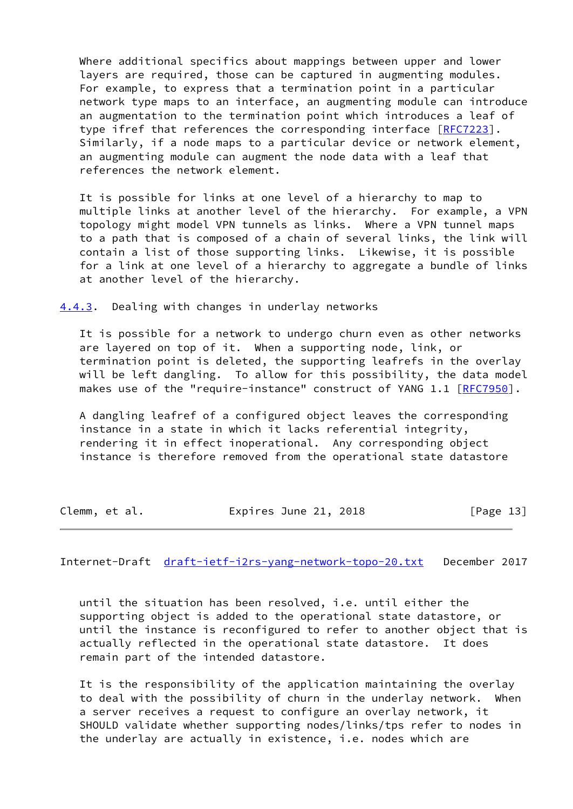Where additional specifics about mappings between upper and lower layers are required, those can be captured in augmenting modules. For example, to express that a termination point in a particular network type maps to an interface, an augmenting module can introduce an augmentation to the termination point which introduces a leaf of type ifref that references the corresponding interface [\[RFC7223](https://datatracker.ietf.org/doc/pdf/rfc7223)]. Similarly, if a node maps to a particular device or network element, an augmenting module can augment the node data with a leaf that references the network element.

 It is possible for links at one level of a hierarchy to map to multiple links at another level of the hierarchy. For example, a VPN topology might model VPN tunnels as links. Where a VPN tunnel maps to a path that is composed of a chain of several links, the link will contain a list of those supporting links. Likewise, it is possible for a link at one level of a hierarchy to aggregate a bundle of links at another level of the hierarchy.

<span id="page-14-0"></span>[4.4.3](#page-14-0). Dealing with changes in underlay networks

 It is possible for a network to undergo churn even as other networks are layered on top of it. When a supporting node, link, or termination point is deleted, the supporting leafrefs in the overlay will be left dangling. To allow for this possibility, the data model makes use of the "require-instance" construct of YANG 1.1 [[RFC7950](https://datatracker.ietf.org/doc/pdf/rfc7950)].

 A dangling leafref of a configured object leaves the corresponding instance in a state in which it lacks referential integrity, rendering it in effect inoperational. Any corresponding object instance is therefore removed from the operational state datastore

Clemm, et al. **Expires June 21, 2018** [Page 13]

<span id="page-14-1"></span>Internet-Draft [draft-ietf-i2rs-yang-network-topo-20.txt](https://datatracker.ietf.org/doc/pdf/draft-ietf-i2rs-yang-network-topo-20.txt) December 2017

 until the situation has been resolved, i.e. until either the supporting object is added to the operational state datastore, or until the instance is reconfigured to refer to another object that is actually reflected in the operational state datastore. It does remain part of the intended datastore.

 It is the responsibility of the application maintaining the overlay to deal with the possibility of churn in the underlay network. When a server receives a request to configure an overlay network, it SHOULD validate whether supporting nodes/links/tps refer to nodes in the underlay are actually in existence, i.e. nodes which are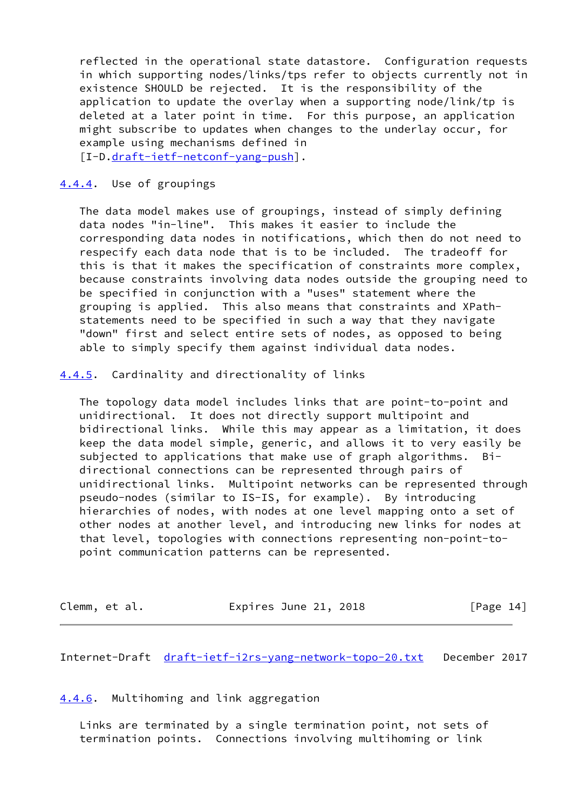reflected in the operational state datastore. Configuration requests in which supporting nodes/links/tps refer to objects currently not in existence SHOULD be rejected. It is the responsibility of the application to update the overlay when a supporting node/link/tp is deleted at a later point in time. For this purpose, an application might subscribe to updates when changes to the underlay occur, for example using mechanisms defined in

[I-D[.draft-ietf-netconf-yang-push](https://datatracker.ietf.org/doc/pdf/draft-ietf-netconf-yang-push)].

## <span id="page-15-0"></span>[4.4.4](#page-15-0). Use of groupings

 The data model makes use of groupings, instead of simply defining data nodes "in-line". This makes it easier to include the corresponding data nodes in notifications, which then do not need to respecify each data node that is to be included. The tradeoff for this is that it makes the specification of constraints more complex, because constraints involving data nodes outside the grouping need to be specified in conjunction with a "uses" statement where the grouping is applied. This also means that constraints and XPath statements need to be specified in such a way that they navigate "down" first and select entire sets of nodes, as opposed to being able to simply specify them against individual data nodes.

### <span id="page-15-1"></span>[4.4.5](#page-15-1). Cardinality and directionality of links

 The topology data model includes links that are point-to-point and unidirectional. It does not directly support multipoint and bidirectional links. While this may appear as a limitation, it does keep the data model simple, generic, and allows it to very easily be subjected to applications that make use of graph algorithms. Bi directional connections can be represented through pairs of unidirectional links. Multipoint networks can be represented through pseudo-nodes (similar to IS-IS, for example). By introducing hierarchies of nodes, with nodes at one level mapping onto a set of other nodes at another level, and introducing new links for nodes at that level, topologies with connections representing non-point-to point communication patterns can be represented.

| Clemm, et al. | Expires June 21, 2018 | [Page 14] |
|---------------|-----------------------|-----------|
|---------------|-----------------------|-----------|

<span id="page-15-3"></span>Internet-Draft [draft-ietf-i2rs-yang-network-topo-20.txt](https://datatracker.ietf.org/doc/pdf/draft-ietf-i2rs-yang-network-topo-20.txt) December 2017

## <span id="page-15-2"></span>[4.4.6](#page-15-2). Multihoming and link aggregation

 Links are terminated by a single termination point, not sets of termination points. Connections involving multihoming or link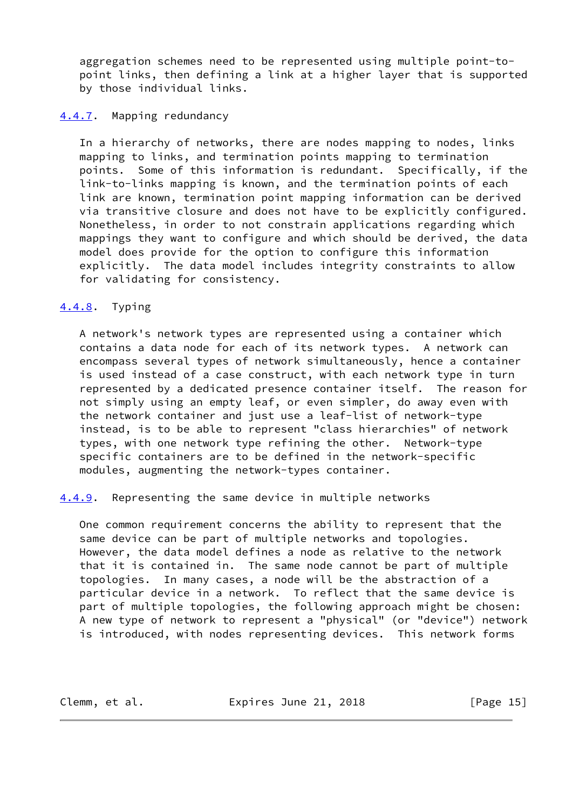aggregation schemes need to be represented using multiple point-to point links, then defining a link at a higher layer that is supported by those individual links.

## <span id="page-16-0"></span>[4.4.7](#page-16-0). Mapping redundancy

 In a hierarchy of networks, there are nodes mapping to nodes, links mapping to links, and termination points mapping to termination points. Some of this information is redundant. Specifically, if the link-to-links mapping is known, and the termination points of each link are known, termination point mapping information can be derived via transitive closure and does not have to be explicitly configured. Nonetheless, in order to not constrain applications regarding which mappings they want to configure and which should be derived, the data model does provide for the option to configure this information explicitly. The data model includes integrity constraints to allow for validating for consistency.

# <span id="page-16-1"></span>[4.4.8](#page-16-1). Typing

 A network's network types are represented using a container which contains a data node for each of its network types. A network can encompass several types of network simultaneously, hence a container is used instead of a case construct, with each network type in turn represented by a dedicated presence container itself. The reason for not simply using an empty leaf, or even simpler, do away even with the network container and just use a leaf-list of network-type instead, is to be able to represent "class hierarchies" of network types, with one network type refining the other. Network-type specific containers are to be defined in the network-specific modules, augmenting the network-types container.

<span id="page-16-2"></span>[4.4.9](#page-16-2). Representing the same device in multiple networks

 One common requirement concerns the ability to represent that the same device can be part of multiple networks and topologies. However, the data model defines a node as relative to the network that it is contained in. The same node cannot be part of multiple topologies. In many cases, a node will be the abstraction of a particular device in a network. To reflect that the same device is part of multiple topologies, the following approach might be chosen: A new type of network to represent a "physical" (or "device") network is introduced, with nodes representing devices. This network forms

Clemm, et al. **Expires June 21, 2018** [Page 15]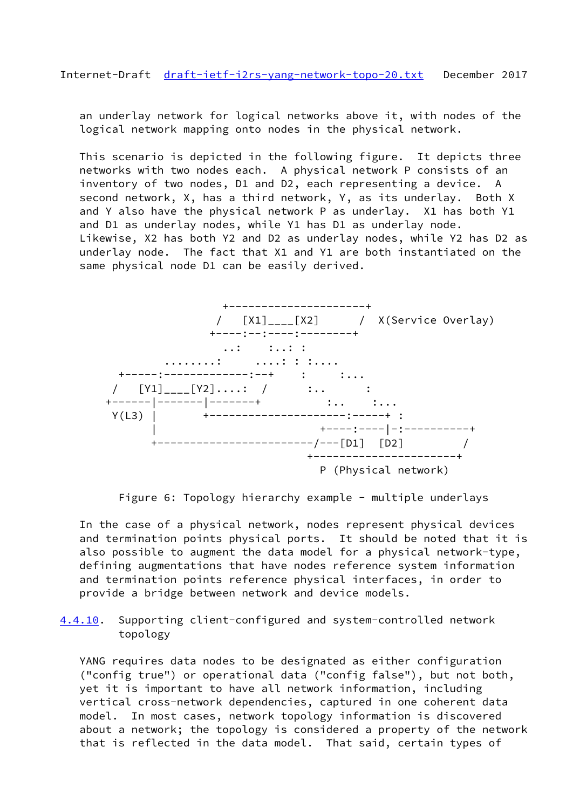<span id="page-17-0"></span> an underlay network for logical networks above it, with nodes of the logical network mapping onto nodes in the physical network.

 This scenario is depicted in the following figure. It depicts three networks with two nodes each. A physical network P consists of an inventory of two nodes, D1 and D2, each representing a device. A second network, X, has a third network, Y, as its underlay. Both X and Y also have the physical network P as underlay. X1 has both Y1 and D1 as underlay nodes, while Y1 has D1 as underlay node. Likewise, X2 has both Y2 and D2 as underlay nodes, while Y2 has D2 as underlay node. The fact that X1 and Y1 are both instantiated on the same physical node D1 can be easily derived.



Figure 6: Topology hierarchy example - multiple underlays

 In the case of a physical network, nodes represent physical devices and termination points physical ports. It should be noted that it is also possible to augment the data model for a physical network-type, defining augmentations that have nodes reference system information and termination points reference physical interfaces, in order to provide a bridge between network and device models.

<span id="page-17-1"></span>[4.4.10](#page-17-1). Supporting client-configured and system-controlled network topology

 YANG requires data nodes to be designated as either configuration ("config true") or operational data ("config false"), but not both, yet it is important to have all network information, including vertical cross-network dependencies, captured in one coherent data model. In most cases, network topology information is discovered about a network; the topology is considered a property of the network that is reflected in the data model. That said, certain types of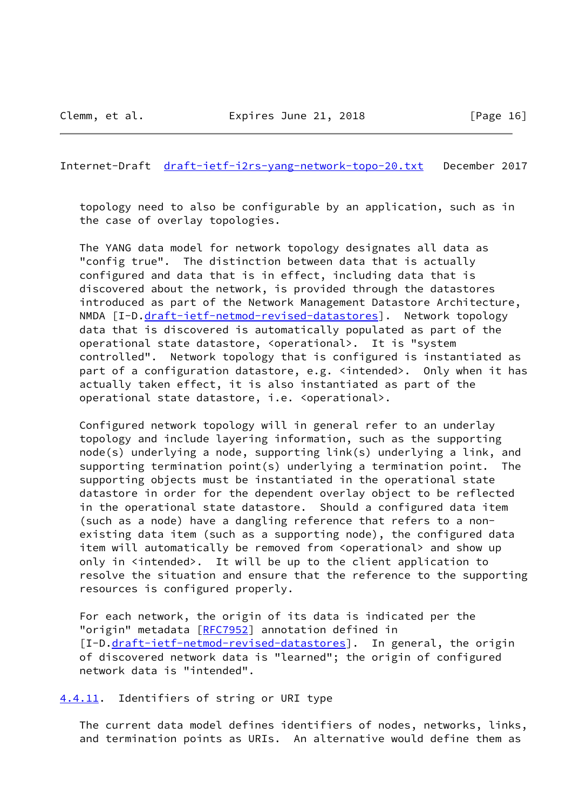<span id="page-18-1"></span>Internet-Draft [draft-ietf-i2rs-yang-network-topo-20.txt](https://datatracker.ietf.org/doc/pdf/draft-ietf-i2rs-yang-network-topo-20.txt) December 2017

 topology need to also be configurable by an application, such as in the case of overlay topologies.

 The YANG data model for network topology designates all data as "config true". The distinction between data that is actually configured and data that is in effect, including data that is discovered about the network, is provided through the datastores introduced as part of the Network Management Datastore Architecture, NMDA [I-D[.draft-ietf-netmod-revised-datastores](https://datatracker.ietf.org/doc/pdf/draft-ietf-netmod-revised-datastores)]. Network topology data that is discovered is automatically populated as part of the operational state datastore, <operational>. It is "system controlled". Network topology that is configured is instantiated as part of a configuration datastore, e.g. <intended>. Only when it has actually taken effect, it is also instantiated as part of the operational state datastore, i.e. <operational>.

 Configured network topology will in general refer to an underlay topology and include layering information, such as the supporting node(s) underlying a node, supporting link(s) underlying a link, and supporting termination point(s) underlying a termination point. The supporting objects must be instantiated in the operational state datastore in order for the dependent overlay object to be reflected in the operational state datastore. Should a configured data item (such as a node) have a dangling reference that refers to a non existing data item (such as a supporting node), the configured data item will automatically be removed from <operational> and show up only in <intended>. It will be up to the client application to resolve the situation and ensure that the reference to the supporting resources is configured properly.

 For each network, the origin of its data is indicated per the "origin" metadata [[RFC7952](https://datatracker.ietf.org/doc/pdf/rfc7952)] annotation defined in [I-D[.draft-ietf-netmod-revised-datastores](https://datatracker.ietf.org/doc/pdf/draft-ietf-netmod-revised-datastores)]. In general, the origin of discovered network data is "learned"; the origin of configured network data is "intended".

<span id="page-18-0"></span>[4.4.11](#page-18-0). Identifiers of string or URI type

 The current data model defines identifiers of nodes, networks, links, and termination points as URIs. An alternative would define them as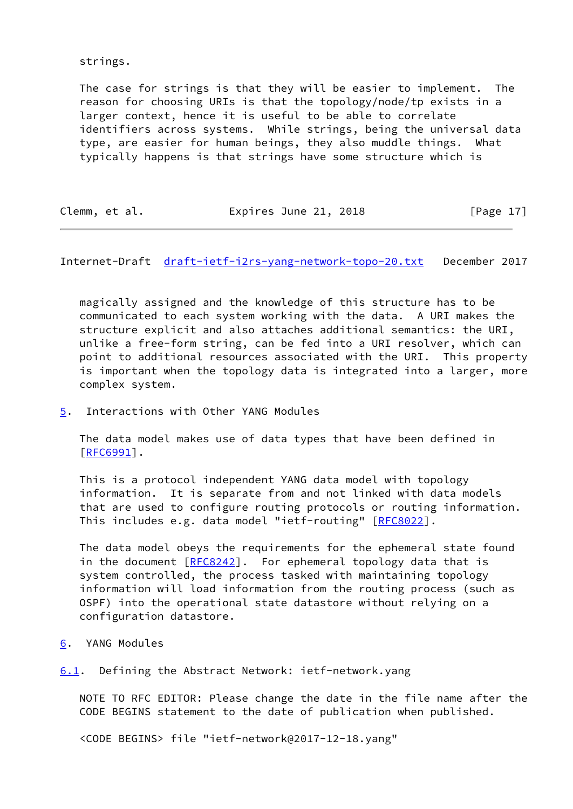strings.

 The case for strings is that they will be easier to implement. The reason for choosing URIs is that the topology/node/tp exists in a larger context, hence it is useful to be able to correlate identifiers across systems. While strings, being the universal data type, are easier for human beings, they also muddle things. What typically happens is that strings have some structure which is

Clemm, et al. **Expires June 21, 2018** [Page 17]

<span id="page-19-1"></span>Internet-Draft [draft-ietf-i2rs-yang-network-topo-20.txt](https://datatracker.ietf.org/doc/pdf/draft-ietf-i2rs-yang-network-topo-20.txt) December 2017

 magically assigned and the knowledge of this structure has to be communicated to each system working with the data. A URI makes the structure explicit and also attaches additional semantics: the URI, unlike a free-form string, can be fed into a URI resolver, which can point to additional resources associated with the URI. This property is important when the topology data is integrated into a larger, more complex system.

<span id="page-19-0"></span>[5](#page-19-0). Interactions with Other YANG Modules

 The data model makes use of data types that have been defined in [\[RFC6991](https://datatracker.ietf.org/doc/pdf/rfc6991)].

 This is a protocol independent YANG data model with topology information. It is separate from and not linked with data models that are used to configure routing protocols or routing information. This includes e.g. data model "ietf-routing" [\[RFC8022](https://datatracker.ietf.org/doc/pdf/rfc8022)].

 The data model obeys the requirements for the ephemeral state found in the document  $[REC8242]$ . For ephemeral topology data that is system controlled, the process tasked with maintaining topology information will load information from the routing process (such as OSPF) into the operational state datastore without relying on a configuration datastore.

<span id="page-19-2"></span>[6](#page-19-2). YANG Modules

<span id="page-19-3"></span>[6.1](#page-19-3). Defining the Abstract Network: ietf-network.yang

 NOTE TO RFC EDITOR: Please change the date in the file name after the CODE BEGINS statement to the date of publication when published.

<CODE BEGINS> file "ietf-network@2017-12-18.yang"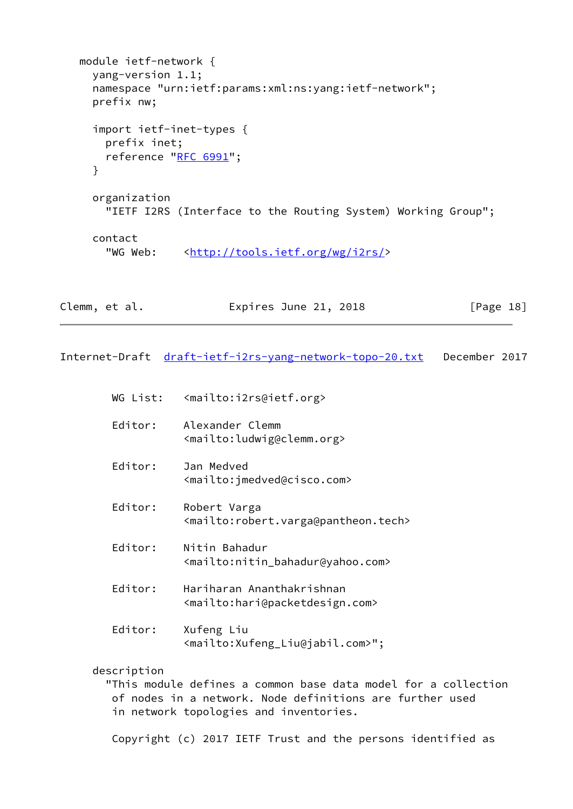```
 module ietf-network {
  yang-version 1.1;
  namespace "urn:ietf:params:xml:ns:yang:ietf-network";
  prefix nw;
  import ietf-inet-types {
    prefix inet;
   RFC 6991";
   }
  organization
     "IETF I2RS (Interface to the Routing System) Working Group";
  contact
    <http://tools.ietf.org/wg/i2rs/>
```

| Clemm, et al. | Expires June 21, 2018 | [Page 18] |
|---------------|-----------------------|-----------|
|---------------|-----------------------|-----------|

Internet-Draft [draft-ietf-i2rs-yang-network-topo-20.txt](https://datatracker.ietf.org/doc/pdf/draft-ietf-i2rs-yang-network-topo-20.txt) December 2017

- WG List: <mailto:i2rs@ietf.org>
- Editor: Alexander Clemm <mailto:ludwig@clemm.org>
- Editor: Jan Medved <mailto:jmedved@cisco.com>
- Editor: Robert Varga <mailto:robert.varga@pantheon.tech>
- Editor: Nitin Bahadur <mailto:nitin\_bahadur@yahoo.com>
- Editor: Hariharan Ananthakrishnan <mailto:hari@packetdesign.com>
- Editor: Xufeng Liu <mailto:Xufeng\_Liu@jabil.com>";

description

 "This module defines a common base data model for a collection of nodes in a network. Node definitions are further used in network topologies and inventories.

Copyright (c) 2017 IETF Trust and the persons identified as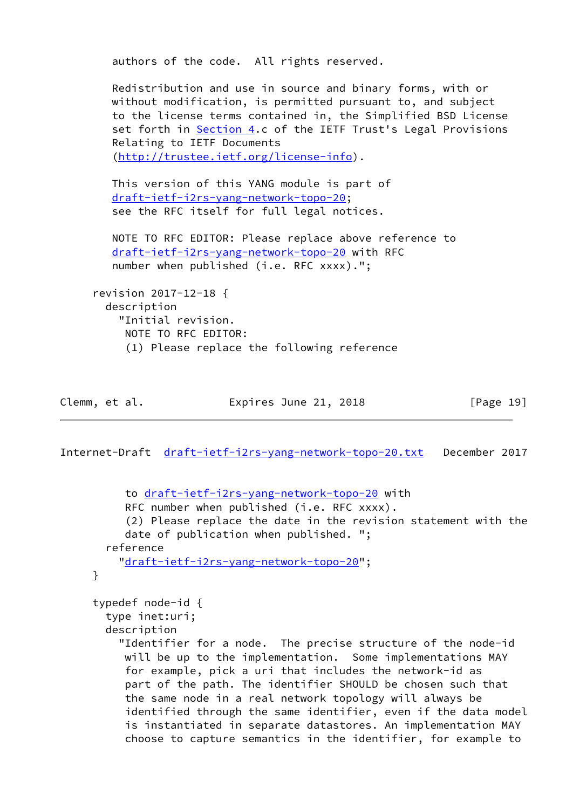```
 authors of the code. All rights reserved.
   Redistribution and use in source and binary forms, with or
   without modification, is permitted pursuant to, and subject
   to the license terms contained in, the Simplified BSD License
    Section 4.c of the IETF Trust's Legal Provisions
    Relating to IETF Documents
    (http://trustee.ietf.org/license-info).
   This version of this YANG module is part of
   draft-ietf-i2rs-yang-network-topo-20;
    see the RFC itself for full legal notices.
   NOTE TO RFC EDITOR: Please replace above reference to
   draft-ietf-i2rs-yang-network-topo-20 with RFC
   number when published (i.e. RFC xxxx).";
 revision 2017-12-18 {
  description
     "Initial revision.
     NOTE TO RFC EDITOR:
      (1) Please replace the following reference
```

| Clemm, et al. | Expires June 21, 2018 | [Page 19] |
|---------------|-----------------------|-----------|
|---------------|-----------------------|-----------|

```
 to draft-ietf-i2rs-yang-network-topo-20 with
     RFC number when published (i.e. RFC xxxx).
      (2) Please replace the date in the revision statement with the
      date of publication when published. ";
   reference
     "draft-ietf-i2rs-yang-network-topo-20";
 }
 typedef node-id {
   type inet:uri;
   description
     "Identifier for a node. The precise structure of the node-id
      will be up to the implementation. Some implementations MAY
      for example, pick a uri that includes the network-id as
      part of the path. The identifier SHOULD be chosen such that
      the same node in a real network topology will always be
      identified through the same identifier, even if the data model
      is instantiated in separate datastores. An implementation MAY
      choose to capture semantics in the identifier, for example to
```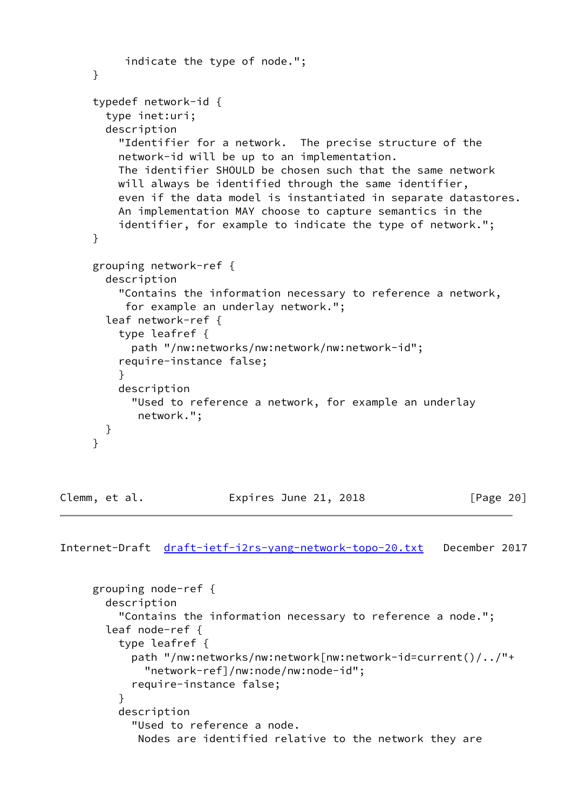```
 indicate the type of node.";
     }
      typedef network-id {
        type inet:uri;
        description
          "Identifier for a network. The precise structure of the
          network-id will be up to an implementation.
          The identifier SHOULD be chosen such that the same network
          will always be identified through the same identifier,
          even if the data model is instantiated in separate datastores.
          An implementation MAY choose to capture semantics in the
          identifier, for example to indicate the type of network.";
     }
      grouping network-ref {
        description
          "Contains the information necessary to reference a network,
           for example an underlay network.";
        leaf network-ref {
          type leafref {
            path "/nw:networks/nw:network/nw:network-id";
          require-instance false;
 }
          description
            "Used to reference a network, for example an underlay
             network.";
       }
      }
```
Clemm, et al. Expires June 21, 2018 [Page 20]

```
 grouping node-ref {
       description
          "Contains the information necessary to reference a node.";
       leaf node-ref {
          type leafref {
            path "/nw:networks/nw:network[nw:network-id=current()/../"+
              "network-ref]/nw:node/nw:node-id";
            require-instance false;
 }
          description
            "Used to reference a node.
             Nodes are identified relative to the network they are
```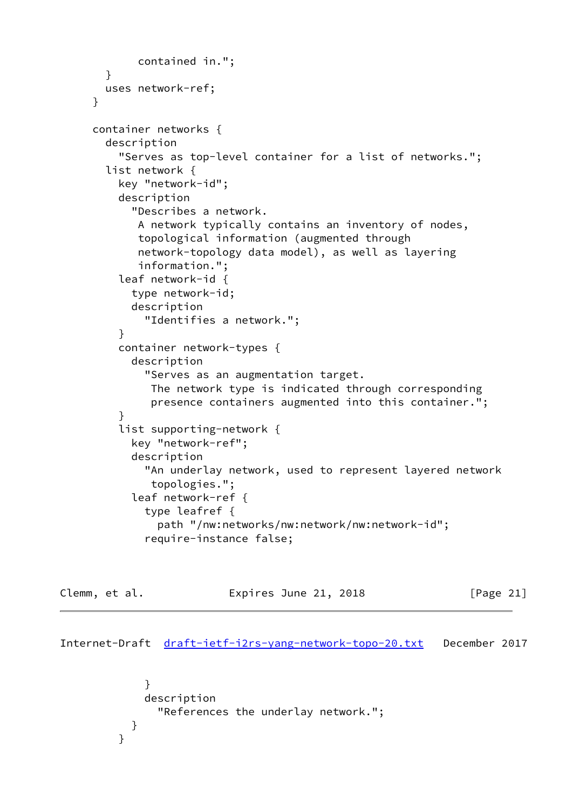```
 contained in.";
        }
        uses network-ref;
      }
      container networks {
        description
          "Serves as top-level container for a list of networks.";
        list network {
          key "network-id";
          description
            "Describes a network.
             A network typically contains an inventory of nodes,
             topological information (augmented through
             network-topology data model), as well as layering
             information.";
          leaf network-id {
            type network-id;
            description
              "Identifies a network.";
 }
          container network-types {
            description
              "Serves as an augmentation target.
               The network type is indicated through corresponding
               presence containers augmented into this container.";
          }
          list supporting-network {
            key "network-ref";
            description
              "An underlay network, used to represent layered network
               topologies.";
            leaf network-ref {
              type leafref {
                path "/nw:networks/nw:network/nw:network-id";
              require-instance false;
```

```
Clemm, et al.                 Expires June 21, 2018               [Page 21]
```
Internet-Draft [draft-ietf-i2rs-yang-network-topo-20.txt](https://datatracker.ietf.org/doc/pdf/draft-ietf-i2rs-yang-network-topo-20.txt) December 2017

```
 }
          description
            "References the underlay network.";
 }
```
}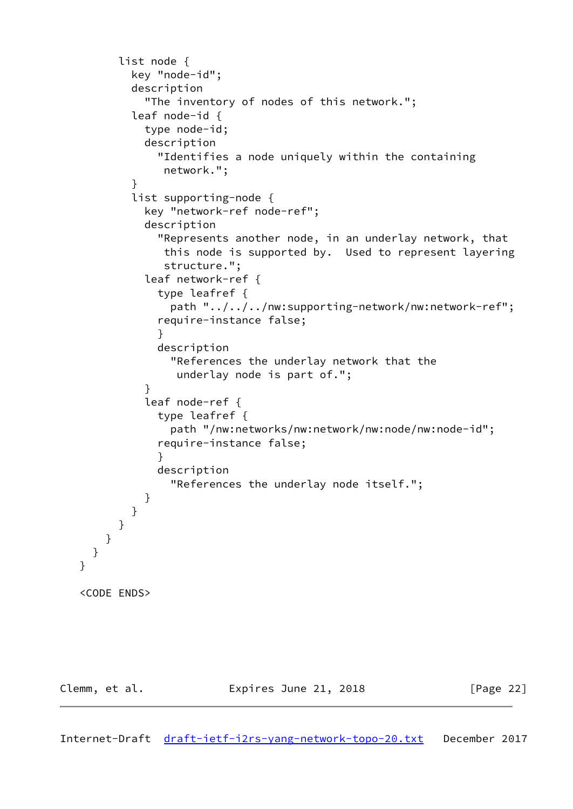```
 list node {
           key "node-id";
           description
             "The inventory of nodes of this network.";
           leaf node-id {
             type node-id;
             description
               "Identifies a node uniquely within the containing
                network.";
 }
           list supporting-node {
             key "network-ref node-ref";
             description
               "Represents another node, in an underlay network, that
                this node is supported by. Used to represent layering
                structure.";
             leaf network-ref {
               type leafref {
                 path "../../../nw:supporting-network/nw:network-ref";
               require-instance false;
 }
               description
                 "References the underlay network that the
                  underlay node is part of.";
 }
             leaf node-ref {
               type leafref {
                 path "/nw:networks/nw:network/nw:node/nw:node-id";
               require-instance false;
 }
               description
                 "References the underlay node itself.";
 }
           }
         }
       }
     }
   }
   <CODE ENDS>
```
Clemm, et al. **Expires June 21, 2018** [Page 22]

<span id="page-24-0"></span>Internet-Draft [draft-ietf-i2rs-yang-network-topo-20.txt](https://datatracker.ietf.org/doc/pdf/draft-ietf-i2rs-yang-network-topo-20.txt) December 2017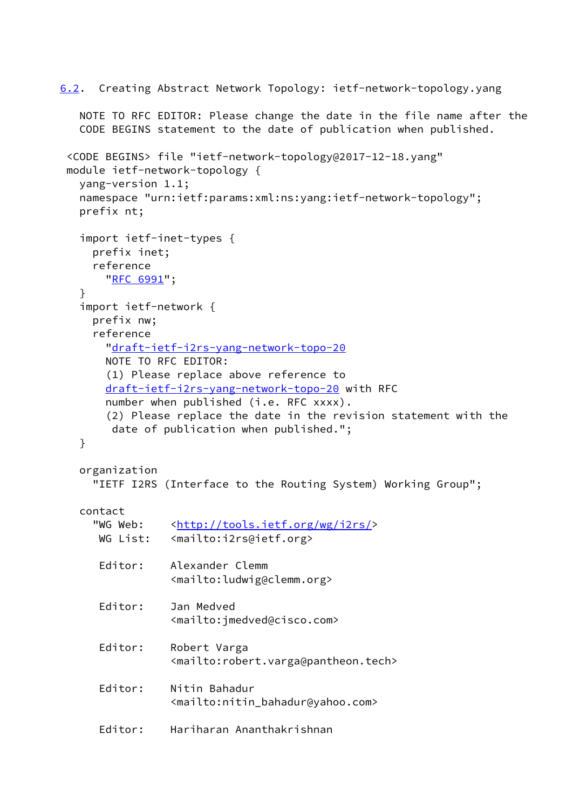```
6.2. Creating Abstract Network Topology: ietf-network-topology.yang
   NOTE TO RFC EDITOR: Please change the date in the file name after the
    CODE BEGINS statement to the date of publication when published.
  <CODE BEGINS> file "ietf-network-topology@2017-12-18.yang"
  module ietf-network-topology {
    yang-version 1.1;
    namespace "urn:ietf:params:xml:ns:yang:ietf-network-topology";
    prefix nt;
    import ietf-inet-types {
      prefix inet;
      reference
        "RFC 6991";
    }
    import ietf-network {
      prefix nw;
      reference
        "draft-ietf-i2rs-yang-network-topo-20
        NOTE TO RFC EDITOR:
        (1) Please replace above reference to
        draft-ietf-i2rs-yang-network-topo-20 with RFC
       number when published (i.e. RFC xxxx).
        (2) Please replace the date in the revision statement with the
         date of publication when published.";
    }
    organization
      "IETF I2RS (Interface to the Routing System) Working Group";
    contact
     http://tools.ietf.org/wg/i2rs/>
      WG List: <mailto:i2rs@ietf.org>
       Editor: Alexander Clemm
                  <mailto:ludwig@clemm.org>
       Editor: Jan Medved
                  <mailto:jmedved@cisco.com>
       Editor: Robert Varga
                  <mailto:robert.varga@pantheon.tech>
       Editor: Nitin Bahadur
                  <mailto:nitin_bahadur@yahoo.com>
       Editor: Hariharan Ananthakrishnan
```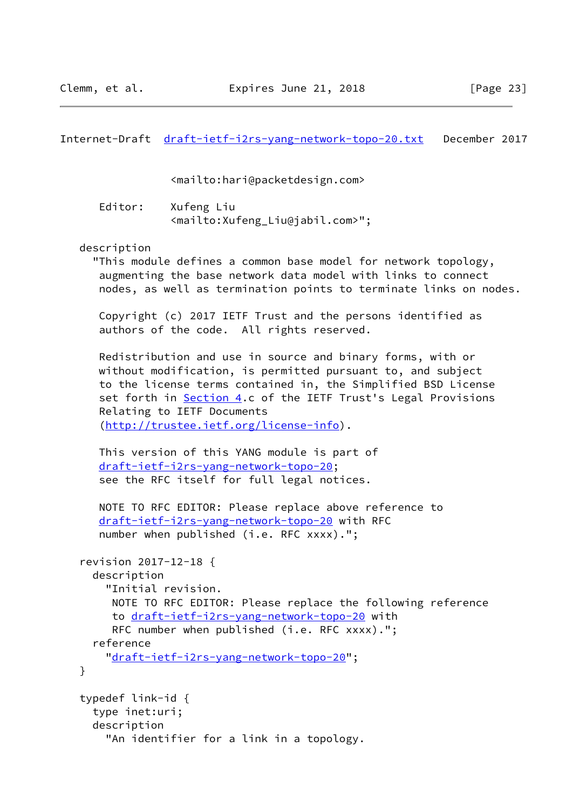Internet-Draft [draft-ietf-i2rs-yang-network-topo-20.txt](https://datatracker.ietf.org/doc/pdf/draft-ietf-i2rs-yang-network-topo-20.txt) December 2017

<mailto:hari@packetdesign.com>

 Editor: Xufeng Liu <mailto:Xufeng\_Liu@jabil.com>";

description

 "This module defines a common base model for network topology, augmenting the base network data model with links to connect nodes, as well as termination points to terminate links on nodes.

 Copyright (c) 2017 IETF Trust and the persons identified as authors of the code. All rights reserved.

 Redistribution and use in source and binary forms, with or without modification, is permitted pursuant to, and subject to the license terms contained in, the Simplified BSD License set forth in [Section 4](#page-8-0).c of the IETF Trust's Legal Provisions Relating to IETF Documents ([http://trustee.ietf.org/license-info\)](http://trustee.ietf.org/license-info).

```
 This version of this YANG module is part of
 draft-ietf-i2rs-yang-network-topo-20;
 see the RFC itself for full legal notices.
```

```
 NOTE TO RFC EDITOR: Please replace above reference to
 draft-ietf-i2rs-yang-network-topo-20 with RFC
 number when published (i.e. RFC xxxx).";
```

```
 revision 2017-12-18 {
   description
     "Initial revision.
      NOTE TO RFC EDITOR: Please replace the following reference
      to draft-ietf-i2rs-yang-network-topo-20 with
      RFC number when published (i.e. RFC xxxx).";
   reference
     "draft-ietf-i2rs-yang-network-topo-20";
 }
 typedef link-id {
   type inet:uri;
   description
     "An identifier for a link in a topology.
```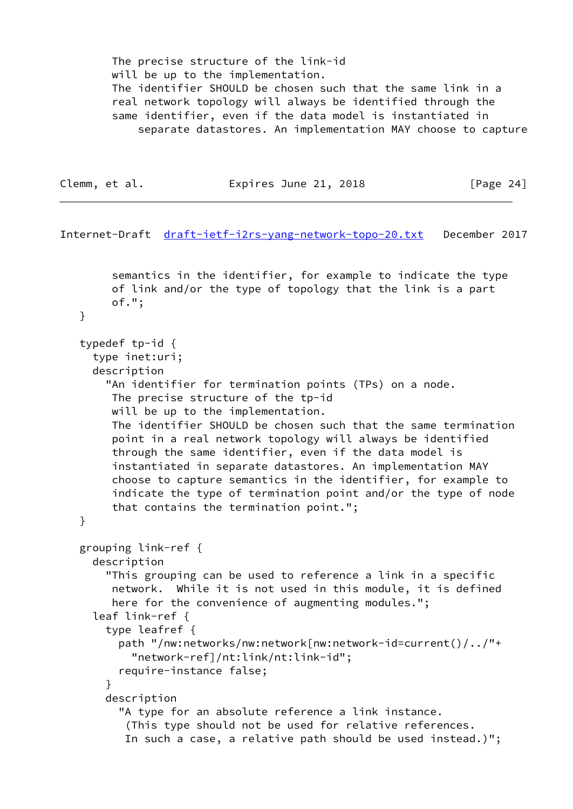The precise structure of the link-id will be up to the implementation. The identifier SHOULD be chosen such that the same link in a real network topology will always be identified through the same identifier, even if the data model is instantiated in separate datastores. An implementation MAY choose to capture

```
Clemm, et al. Expires June 21, 2018 [Page 24]
```
Internet-Draft [draft-ietf-i2rs-yang-network-topo-20.txt](https://datatracker.ietf.org/doc/pdf/draft-ietf-i2rs-yang-network-topo-20.txt) December 2017 semantics in the identifier, for example to indicate the type of link and/or the type of topology that the link is a part of."; } typedef tp-id { type inet:uri; description "An identifier for termination points (TPs) on a node. The precise structure of the tp-id will be up to the implementation. The identifier SHOULD be chosen such that the same termination point in a real network topology will always be identified through the same identifier, even if the data model is instantiated in separate datastores. An implementation MAY choose to capture semantics in the identifier, for example to indicate the type of termination point and/or the type of node that contains the termination point."; } grouping link-ref { description "This grouping can be used to reference a link in a specific network. While it is not used in this module, it is defined here for the convenience of augmenting modules."; leaf link-ref { type leafref { path "/nw:networks/nw:network[nw:network-id=current()/../"+ "network-ref]/nt:link/nt:link-id"; require-instance false; } description "A type for an absolute reference a link instance. (This type should not be used for relative references. In such a case, a relative path should be used instead.)";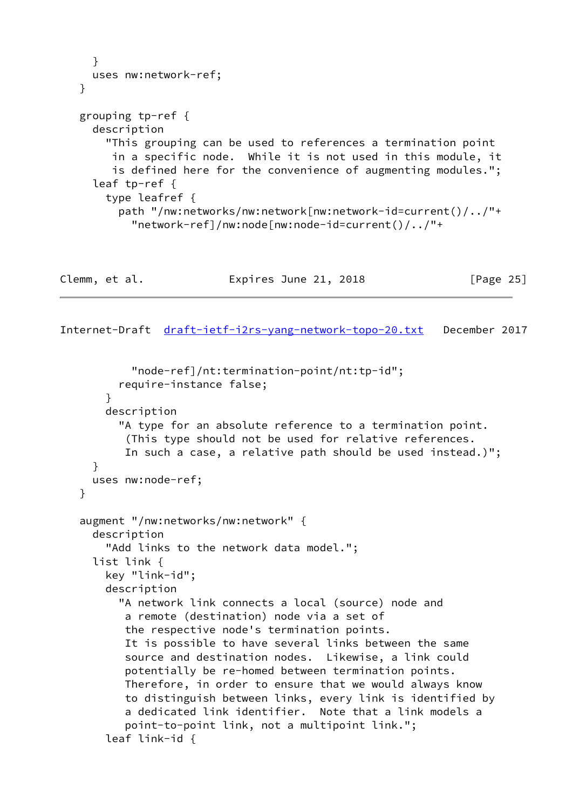```
 }
  uses nw:network-ref;
 }
 grouping tp-ref {
   description
     "This grouping can be used to references a termination point
      in a specific node. While it is not used in this module, it
      is defined here for the convenience of augmenting modules.";
   leaf tp-ref {
     type leafref {
       path "/nw:networks/nw:network[nw:network-id=current()/../"+
         "network-ref]/nw:node[nw:node-id=current()/../"+
```

| Expires June 21, 2018 |           |
|-----------------------|-----------|
|                       | [Page 25] |

```
 "node-ref]/nt:termination-point/nt:tp-id";
       require-instance false;
     }
     description
       "A type for an absolute reference to a termination point.
        (This type should not be used for relative references.
        In such a case, a relative path should be used instead.)";
  }
  uses nw:node-ref;
 }
 augment "/nw:networks/nw:network" {
  description
     "Add links to the network data model.";
   list link {
     key "link-id";
     description
       "A network link connects a local (source) node and
        a remote (destination) node via a set of
        the respective node's termination points.
        It is possible to have several links between the same
        source and destination nodes. Likewise, a link could
        potentially be re-homed between termination points.
        Therefore, in order to ensure that we would always know
        to distinguish between links, every link is identified by
        a dedicated link identifier. Note that a link models a
        point-to-point link, not a multipoint link.";
     leaf link-id {
```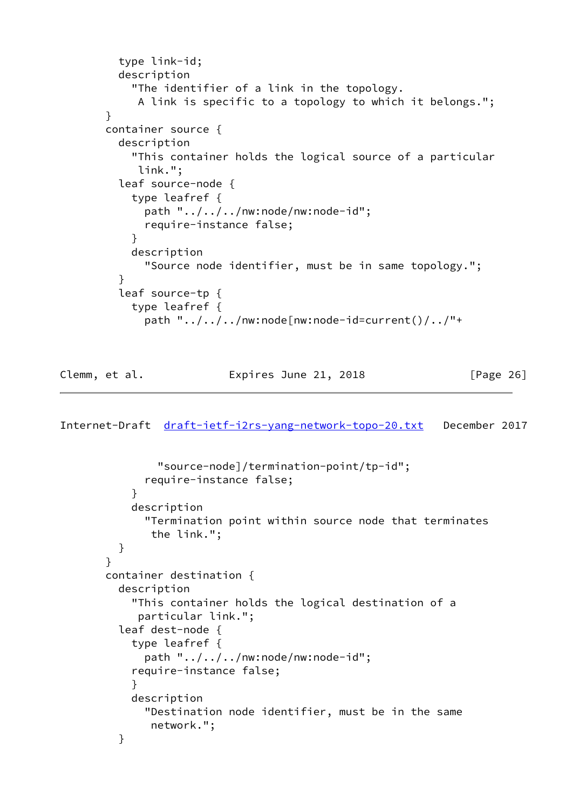```
 type link-id;
          description
            "The identifier of a link in the topology.
             A link is specific to a topology to which it belongs.";
       }
       container source {
          description
            "This container holds the logical source of a particular
            link.";
          leaf source-node {
            type leafref {
              path "../../../nw:node/nw:node-id";
              require-instance false;
 }
            description
              "Source node identifier, must be in same topology.";
 }
          leaf source-tp {
            type leafref {
              path "../../../nw:node[nw:node-id=current()/../"+
```
Clemm, et al. Expires June 21, 2018 [Page 26]

```
 "source-node]/termination-point/tp-id";
              require-instance false;
 }
            description
              "Termination point within source node that terminates
               the link.";
          }
       }
       container destination {
          description
            "This container holds the logical destination of a
             particular link.";
          leaf dest-node {
            type leafref {
              path "../../../nw:node/nw:node-id";
            require-instance false;
 }
            description
              "Destination node identifier, must be in the same
               network.";
          }
```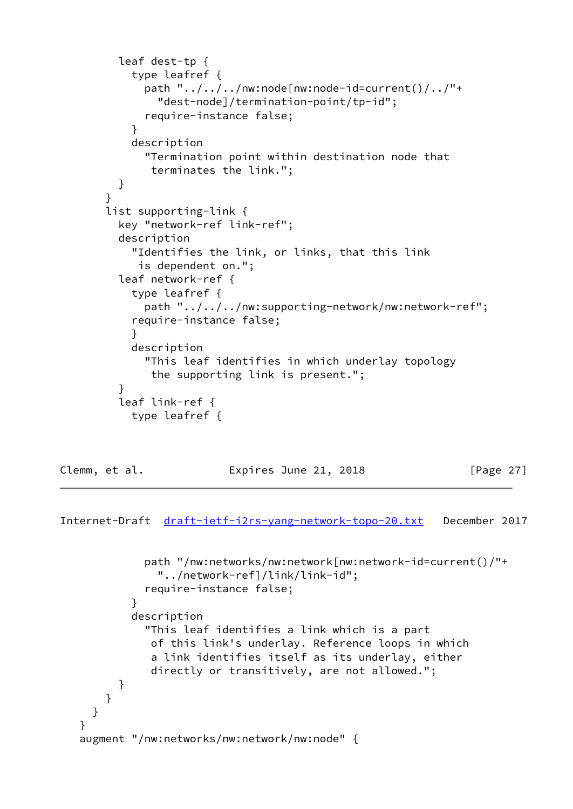```
 leaf dest-tp {
            type leafref {
             path "\ldots/\ldots/\ldots/nw:node[nw:node-id=current()/\ldots/"+
                "dest-node]/termination-point/tp-id";
              require-instance false;
 }
            description
              "Termination point within destination node that
               terminates the link.";
          }
        }
        list supporting-link {
          key "network-ref link-ref";
          description
            "Identifies the link, or links, that this link
             is dependent on.";
          leaf network-ref {
            type leafref {
              path "../../../nw:supporting-network/nw:network-ref";
            require-instance false;
 }
            description
              "This leaf identifies in which underlay topology
               the supporting link is present.";
 }
          leaf link-ref {
            type leafref {
```
Clemm, et al. **Expires June 21, 2018** [Page 27]

```
 path "/nw:networks/nw:network[nw:network-id=current()/"+
                "../network-ref]/link/link-id";
              require-instance false;
 }
            description
              "This leaf identifies a link which is a part
               of this link's underlay. Reference loops in which
               a link identifies itself as its underlay, either
               directly or transitively, are not allowed.";
          }
       }
     }
   }
   augment "/nw:networks/nw:network/nw:node" {
```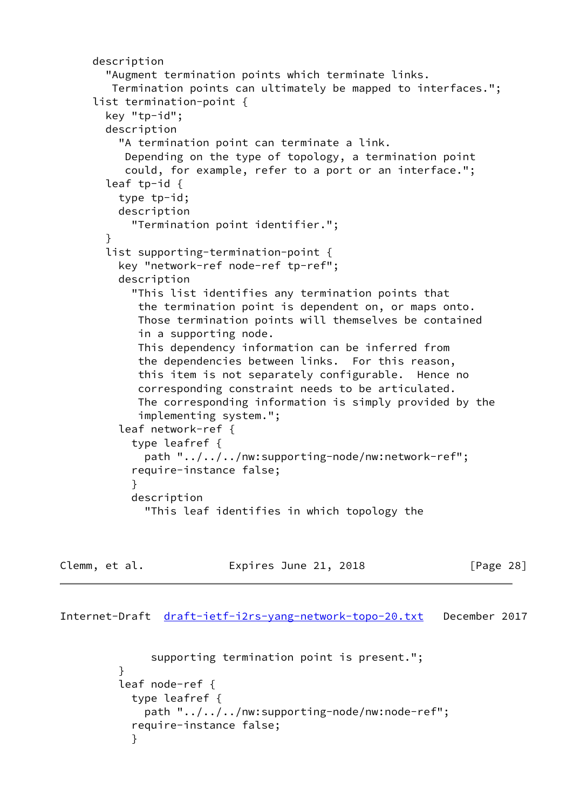```
 description
        "Augment termination points which terminate links.
        Termination points can ultimately be mapped to interfaces.";
      list termination-point {
        key "tp-id";
        description
          "A termination point can terminate a link.
           Depending on the type of topology, a termination point
           could, for example, refer to a port or an interface.";
        leaf tp-id {
          type tp-id;
          description
            "Termination point identifier.";
        }
        list supporting-termination-point {
          key "network-ref node-ref tp-ref";
          description
            "This list identifies any termination points that
             the termination point is dependent on, or maps onto.
             Those termination points will themselves be contained
             in a supporting node.
             This dependency information can be inferred from
             the dependencies between links. For this reason,
             this item is not separately configurable. Hence no
             corresponding constraint needs to be articulated.
             The corresponding information is simply provided by the
             implementing system.";
          leaf network-ref {
            type leafref {
              path "../../../nw:supporting-node/nw:network-ref";
            require-instance false;
 }
            description
              "This leaf identifies in which topology the
```
Clemm, et al. Expires June 21, 2018 [Page 28]

```
 supporting termination point is present.";
 }
         leaf node-ref {
           type leafref {
             path "../../../nw:supporting-node/nw:node-ref";
           require-instance false;
 }
```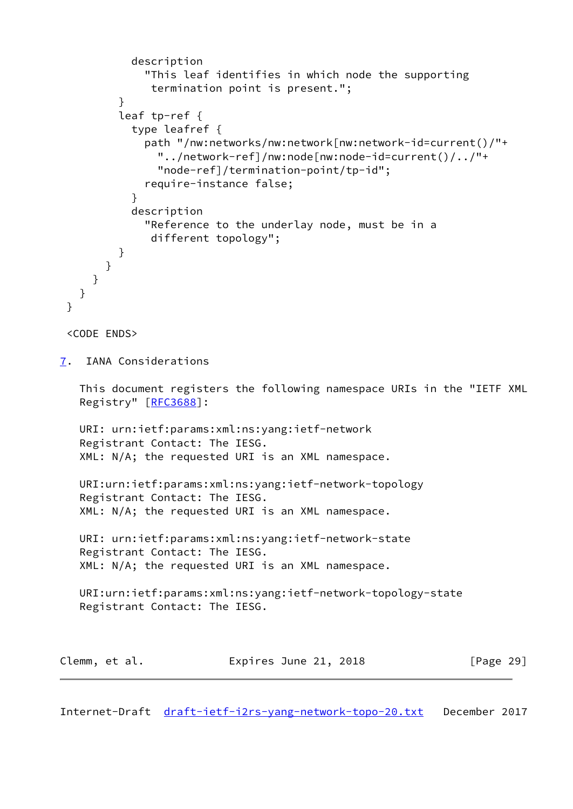```
 description
              "This leaf identifies in which node the supporting
               termination point is present.";
 }
          leaf tp-ref {
            type leafref {
              path "/nw:networks/nw:network[nw:network-id=current()/"+
                "../network-ref]/nw:node[nw:node-id=current()/../"+
                "node-ref]/termination-point/tp-id";
              require-instance false;
 }
            description
              "Reference to the underlay node, must be in a
               different topology";
          }
       }
     }
   }
  }
  <CODE ENDS>
7. IANA Considerations
    This document registers the following namespace URIs in the "IETF XML
    Registry" [RFC3688]:
   URI: urn:ietf:params:xml:ns:yang:ietf-network
    Registrant Contact: The IESG.
   XML: N/A; the requested URI is an XML namespace.
   URI:urn:ietf:params:xml:ns:yang:ietf-network-topology
    Registrant Contact: The IESG.
    XML: N/A; the requested URI is an XML namespace.
    URI: urn:ietf:params:xml:ns:yang:ietf-network-state
    Registrant Contact: The IESG.
    XML: N/A; the requested URI is an XML namespace.
    URI:urn:ietf:params:xml:ns:yang:ietf-network-topology-state
    Registrant Contact: The IESG.
Clemm, et al. Expires June 21, 2018 [Page 29]
```
<span id="page-32-1"></span>Internet-Draft [draft-ietf-i2rs-yang-network-topo-20.txt](https://datatracker.ietf.org/doc/pdf/draft-ietf-i2rs-yang-network-topo-20.txt) December 2017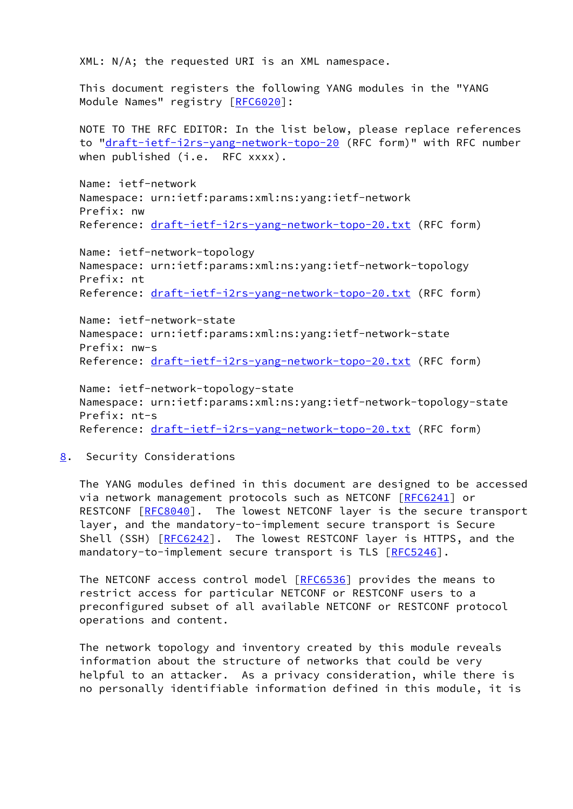XML: N/A; the requested URI is an XML namespace.

 This document registers the following YANG modules in the "YANG Module Names" registry [\[RFC6020](https://datatracker.ietf.org/doc/pdf/rfc6020)]:

 NOTE TO THE RFC EDITOR: In the list below, please replace references to "[draft-ietf-i2rs-yang-network-topo-20](https://datatracker.ietf.org/doc/pdf/draft-ietf-i2rs-yang-network-topo-20) (RFC form)" with RFC number when published (i.e. RFC xxxx).

 Name: ietf-network Namespace: urn:ietf:params:xml:ns:yang:ietf-network Prefix: nw Reference: [draft-ietf-i2rs-yang-network-topo-20.txt](https://datatracker.ietf.org/doc/pdf/draft-ietf-i2rs-yang-network-topo-20.txt) (RFC form)

 Name: ietf-network-topology Namespace: urn:ietf:params:xml:ns:yang:ietf-network-topology Prefix: nt Reference: [draft-ietf-i2rs-yang-network-topo-20.txt](https://datatracker.ietf.org/doc/pdf/draft-ietf-i2rs-yang-network-topo-20.txt) (RFC form)

 Name: ietf-network-state Namespace: urn:ietf:params:xml:ns:yang:ietf-network-state Prefix: nw-s Reference: [draft-ietf-i2rs-yang-network-topo-20.txt](https://datatracker.ietf.org/doc/pdf/draft-ietf-i2rs-yang-network-topo-20.txt) (RFC form)

 Name: ietf-network-topology-state Namespace: urn:ietf:params:xml:ns:yang:ietf-network-topology-state Prefix: nt-s Reference: [draft-ietf-i2rs-yang-network-topo-20.txt](https://datatracker.ietf.org/doc/pdf/draft-ietf-i2rs-yang-network-topo-20.txt) (RFC form)

<span id="page-33-0"></span>[8](#page-33-0). Security Considerations

 The YANG modules defined in this document are designed to be accessed via network management protocols such as NETCONF [\[RFC6241](https://datatracker.ietf.org/doc/pdf/rfc6241)] or RESTCONF [\[RFC8040](https://datatracker.ietf.org/doc/pdf/rfc8040)]. The lowest NETCONF layer is the secure transport layer, and the mandatory-to-implement secure transport is Secure Shell (SSH) [\[RFC6242](https://datatracker.ietf.org/doc/pdf/rfc6242)]. The lowest RESTCONF layer is HTTPS, and the mandatory-to-implement secure transport is TLS [\[RFC5246](https://datatracker.ietf.org/doc/pdf/rfc5246)].

The NETCONF access control model [\[RFC6536](https://datatracker.ietf.org/doc/pdf/rfc6536)] provides the means to restrict access for particular NETCONF or RESTCONF users to a preconfigured subset of all available NETCONF or RESTCONF protocol operations and content.

 The network topology and inventory created by this module reveals information about the structure of networks that could be very helpful to an attacker. As a privacy consideration, while there is no personally identifiable information defined in this module, it is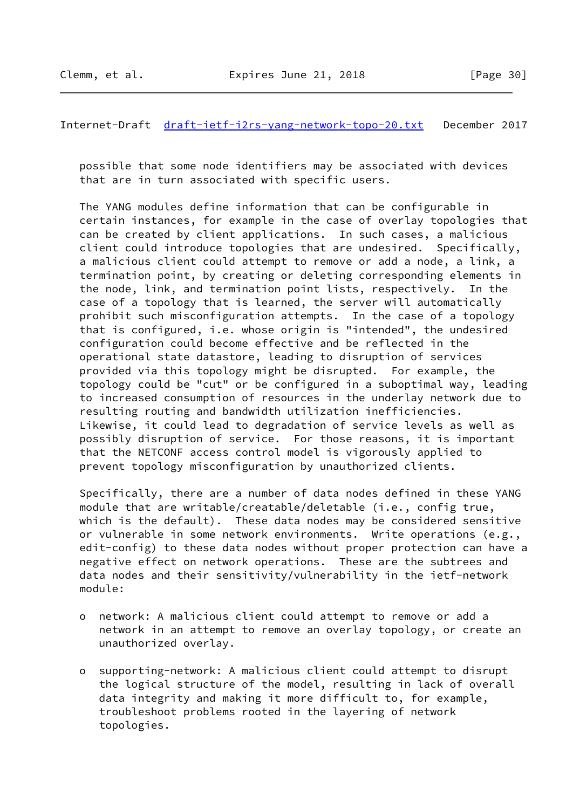Internet-Draft [draft-ietf-i2rs-yang-network-topo-20.txt](https://datatracker.ietf.org/doc/pdf/draft-ietf-i2rs-yang-network-topo-20.txt) December 2017

 possible that some node identifiers may be associated with devices that are in turn associated with specific users.

 The YANG modules define information that can be configurable in certain instances, for example in the case of overlay topologies that can be created by client applications. In such cases, a malicious client could introduce topologies that are undesired. Specifically, a malicious client could attempt to remove or add a node, a link, a termination point, by creating or deleting corresponding elements in the node, link, and termination point lists, respectively. In the case of a topology that is learned, the server will automatically prohibit such misconfiguration attempts. In the case of a topology that is configured, i.e. whose origin is "intended", the undesired configuration could become effective and be reflected in the operational state datastore, leading to disruption of services provided via this topology might be disrupted. For example, the topology could be "cut" or be configured in a suboptimal way, leading to increased consumption of resources in the underlay network due to resulting routing and bandwidth utilization inefficiencies. Likewise, it could lead to degradation of service levels as well as possibly disruption of service. For those reasons, it is important that the NETCONF access control model is vigorously applied to prevent topology misconfiguration by unauthorized clients.

 Specifically, there are a number of data nodes defined in these YANG module that are writable/creatable/deletable (i.e., config true, which is the default). These data nodes may be considered sensitive or vulnerable in some network environments. Write operations (e.g., edit-config) to these data nodes without proper protection can have a negative effect on network operations. These are the subtrees and data nodes and their sensitivity/vulnerability in the ietf-network module:

- o network: A malicious client could attempt to remove or add a network in an attempt to remove an overlay topology, or create an unauthorized overlay.
- o supporting-network: A malicious client could attempt to disrupt the logical structure of the model, resulting in lack of overall data integrity and making it more difficult to, for example, troubleshoot problems rooted in the layering of network topologies.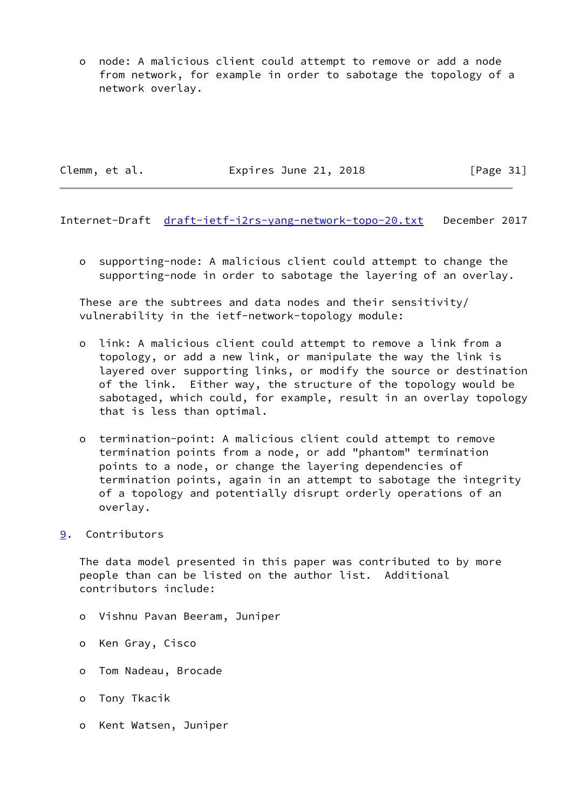o node: A malicious client could attempt to remove or add a node from network, for example in order to sabotage the topology of a network overlay.

Clemm, et al. **Expires June 21, 2018** [Page 31]

<span id="page-35-1"></span>Internet-Draft [draft-ietf-i2rs-yang-network-topo-20.txt](https://datatracker.ietf.org/doc/pdf/draft-ietf-i2rs-yang-network-topo-20.txt) December 2017

 o supporting-node: A malicious client could attempt to change the supporting-node in order to sabotage the layering of an overlay.

 These are the subtrees and data nodes and their sensitivity/ vulnerability in the ietf-network-topology module:

- o link: A malicious client could attempt to remove a link from a topology, or add a new link, or manipulate the way the link is layered over supporting links, or modify the source or destination of the link. Either way, the structure of the topology would be sabotaged, which could, for example, result in an overlay topology that is less than optimal.
- o termination-point: A malicious client could attempt to remove termination points from a node, or add "phantom" termination points to a node, or change the layering dependencies of termination points, again in an attempt to sabotage the integrity of a topology and potentially disrupt orderly operations of an overlay.
- <span id="page-35-0"></span>[9](#page-35-0). Contributors

 The data model presented in this paper was contributed to by more people than can be listed on the author list. Additional contributors include:

- o Vishnu Pavan Beeram, Juniper
- o Ken Gray, Cisco
- o Tom Nadeau, Brocade
- o Tony Tkacik
- o Kent Watsen, Juniper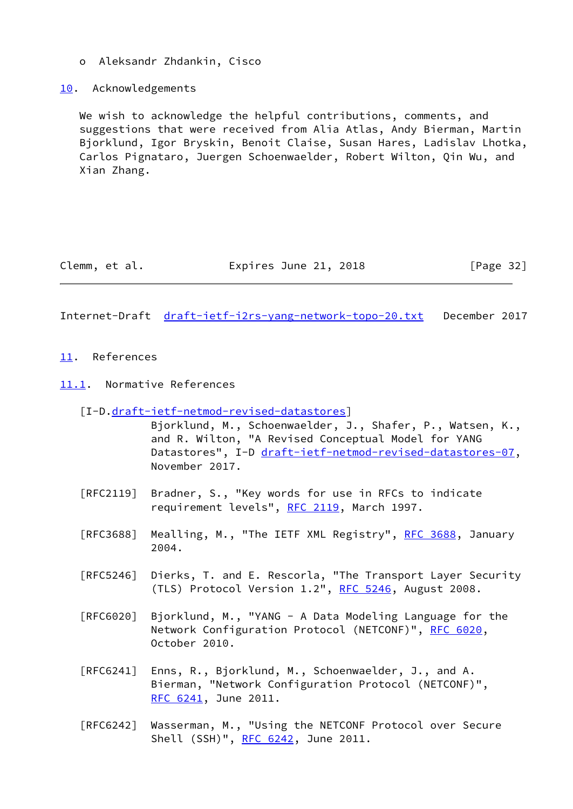- o Aleksandr Zhdankin, Cisco
- <span id="page-36-0"></span>[10.](#page-36-0) Acknowledgements

 We wish to acknowledge the helpful contributions, comments, and suggestions that were received from Alia Atlas, Andy Bierman, Martin Bjorklund, Igor Bryskin, Benoit Claise, Susan Hares, Ladislav Lhotka, Carlos Pignataro, Juergen Schoenwaelder, Robert Wilton, Qin Wu, and Xian Zhang.

<span id="page-36-2"></span>Clemm, et al. Expires June 21, 2018 [Page 32]

- <span id="page-36-1"></span>[11.](#page-36-1) References
- <span id="page-36-3"></span>[11.1](#page-36-3). Normative References
	- [I-D[.draft-ietf-netmod-revised-datastores](https://datatracker.ietf.org/doc/pdf/draft-ietf-netmod-revised-datastores)]
		- Bjorklund, M., Schoenwaelder, J., Shafer, P., Watsen, K., and R. Wilton, "A Revised Conceptual Model for YANG Datastores", I-D [draft-ietf-netmod-revised-datastores-07,](https://datatracker.ietf.org/doc/pdf/draft-ietf-netmod-revised-datastores-07) November 2017.
	- [RFC2119] Bradner, S., "Key words for use in RFCs to indicate requirement levels", [RFC 2119](https://datatracker.ietf.org/doc/pdf/rfc2119), March 1997.
	- [RFC3688] Mealling, M., "The IETF XML Registry", [RFC 3688](https://datatracker.ietf.org/doc/pdf/rfc3688), January 2004.
	- [RFC5246] Dierks, T. and E. Rescorla, "The Transport Layer Security (TLS) Protocol Version 1.2", [RFC 5246](https://datatracker.ietf.org/doc/pdf/rfc5246), August 2008.
	- [RFC6020] Bjorklund, M., "YANG A Data Modeling Language for the Network Configuration Protocol (NETCONF)", [RFC 6020](https://datatracker.ietf.org/doc/pdf/rfc6020), October 2010.
	- [RFC6241] Enns, R., Bjorklund, M., Schoenwaelder, J., and A. Bierman, "Network Configuration Protocol (NETCONF)", [RFC 6241,](https://datatracker.ietf.org/doc/pdf/rfc6241) June 2011.
	- [RFC6242] Wasserman, M., "Using the NETCONF Protocol over Secure Shell (SSH)", [RFC 6242](https://datatracker.ietf.org/doc/pdf/rfc6242), June 2011.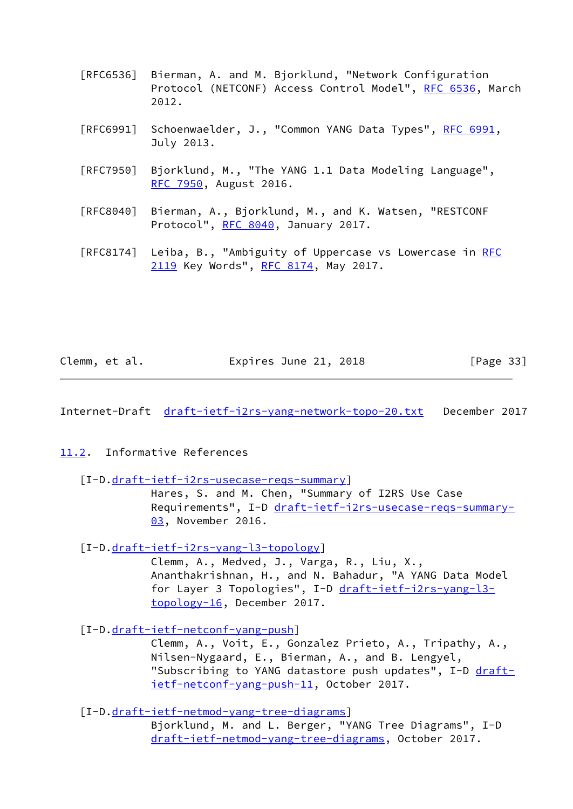- [RFC6536] Bierman, A. and M. Bjorklund, "Network Configuration Protocol (NETCONF) Access Control Model", [RFC 6536](https://datatracker.ietf.org/doc/pdf/rfc6536), March 2012.
- [RFC6991] Schoenwaelder, J., "Common YANG Data Types", [RFC 6991](https://datatracker.ietf.org/doc/pdf/rfc6991), July 2013.
- [RFC7950] Bjorklund, M., "The YANG 1.1 Data Modeling Language", [RFC 7950,](https://datatracker.ietf.org/doc/pdf/rfc7950) August 2016.
- [RFC8040] Bierman, A., Bjorklund, M., and K. Watsen, "RESTCONF Protocol", [RFC 8040](https://datatracker.ietf.org/doc/pdf/rfc8040), January 2017.
- [RFC8174] Leiba, B., "Ambiguity of Uppercase vs Lowercase in [RFC](https://datatracker.ietf.org/doc/pdf/rfc2119) [2119](https://datatracker.ietf.org/doc/pdf/rfc2119) Key Words", [RFC 8174,](https://datatracker.ietf.org/doc/pdf/rfc8174) May 2017.

| Clemm, et al. | Expires June 21, 2018 | [Page 33] |
|---------------|-----------------------|-----------|
|---------------|-----------------------|-----------|

<span id="page-37-1"></span>Internet-Draft [draft-ietf-i2rs-yang-network-topo-20.txt](https://datatracker.ietf.org/doc/pdf/draft-ietf-i2rs-yang-network-topo-20.txt) December 2017

### <span id="page-37-0"></span>[11.2](#page-37-0). Informative References

#### [I-D[.draft-ietf-i2rs-usecase-reqs-summary](https://datatracker.ietf.org/doc/pdf/draft-ietf-i2rs-usecase-reqs-summary)]

 Hares, S. and M. Chen, "Summary of I2RS Use Case Requirements", I-D [draft-ietf-i2rs-usecase-reqs-summary-](https://datatracker.ietf.org/doc/pdf/draft-ietf-i2rs-usecase-reqs-summary-03) [03,](https://datatracker.ietf.org/doc/pdf/draft-ietf-i2rs-usecase-reqs-summary-03) November 2016.

### [I-D[.draft-ietf-i2rs-yang-l3-topology](https://datatracker.ietf.org/doc/pdf/draft-ietf-i2rs-yang-l3-topology)]

 Clemm, A., Medved, J., Varga, R., Liu, X., Ananthakrishnan, H., and N. Bahadur, "A YANG Data Model for Layer 3 Topologies", I-D [draft-ietf-i2rs-yang-l3](https://datatracker.ietf.org/doc/pdf/draft-ietf-i2rs-yang-l3-topology-16) [topology-16](https://datatracker.ietf.org/doc/pdf/draft-ietf-i2rs-yang-l3-topology-16), December 2017.

## [I-D[.draft-ietf-netconf-yang-push](https://datatracker.ietf.org/doc/pdf/draft-ietf-netconf-yang-push)]

 Clemm, A., Voit, E., Gonzalez Prieto, A., Tripathy, A., Nilsen-Nygaard, E., Bierman, A., and B. Lengyel, "Subscribing to YANG datastore push updates", I-D [draft](https://datatracker.ietf.org/doc/pdf/draft-ietf-netconf-yang-push-11) [ietf-netconf-yang-push-11,](https://datatracker.ietf.org/doc/pdf/draft-ietf-netconf-yang-push-11) October 2017.

# [I-D[.draft-ietf-netmod-yang-tree-diagrams](https://datatracker.ietf.org/doc/pdf/draft-ietf-netmod-yang-tree-diagrams)]

 Bjorklund, M. and L. Berger, "YANG Tree Diagrams", I-D [draft-ietf-netmod-yang-tree-diagrams,](https://datatracker.ietf.org/doc/pdf/draft-ietf-netmod-yang-tree-diagrams) October 2017.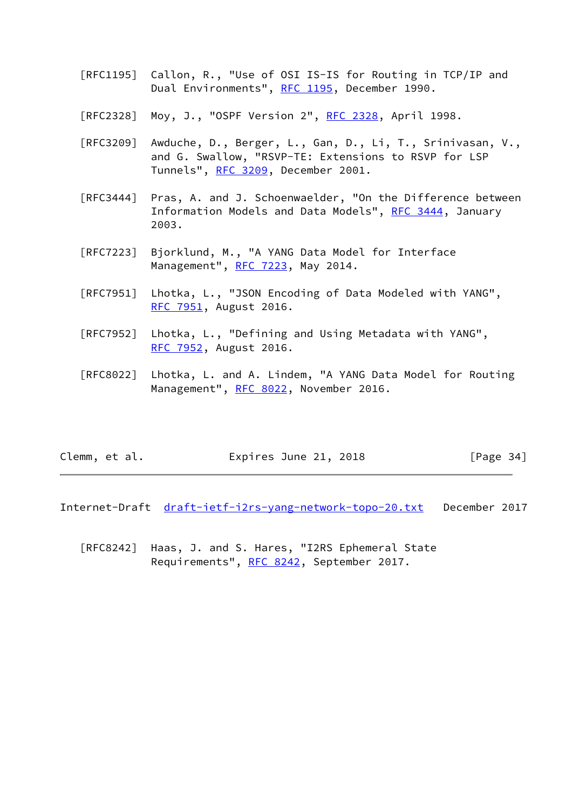- [RFC1195] Callon, R., "Use of OSI IS-IS for Routing in TCP/IP and Dual Environments", [RFC 1195,](https://datatracker.ietf.org/doc/pdf/rfc1195) December 1990.
- [RFC2328] Moy, J., "OSPF Version 2", <u>RFC 2328</u>, April 1998.
- [RFC3209] Awduche, D., Berger, L., Gan, D., Li, T., Srinivasan, V., and G. Swallow, "RSVP-TE: Extensions to RSVP for LSP Tunnels", [RFC 3209](https://datatracker.ietf.org/doc/pdf/rfc3209), December 2001.
- [RFC3444] Pras, A. and J. Schoenwaelder, "On the Difference between Information Models and Data Models", [RFC 3444](https://datatracker.ietf.org/doc/pdf/rfc3444), January 2003.
- [RFC7223] Bjorklund, M., "A YANG Data Model for Interface Management", [RFC 7223](https://datatracker.ietf.org/doc/pdf/rfc7223), May 2014.
- [RFC7951] Lhotka, L., "JSON Encoding of Data Modeled with YANG", [RFC 7951,](https://datatracker.ietf.org/doc/pdf/rfc7951) August 2016.
- [RFC7952] Lhotka, L., "Defining and Using Metadata with YANG", [RFC 7952,](https://datatracker.ietf.org/doc/pdf/rfc7952) August 2016.
- [RFC8022] Lhotka, L. and A. Lindem, "A YANG Data Model for Routing Management", [RFC 8022](https://datatracker.ietf.org/doc/pdf/rfc8022), November 2016.

| Clemm, et al. | Expires June 21, 2018 | [Page 34] |
|---------------|-----------------------|-----------|
|---------------|-----------------------|-----------|

Internet-Draft draft-ietf-j2rs-yang-network-topo-20.txt December 2017

 [RFC8242] Haas, J. and S. Hares, "I2RS Ephemeral State Requirements", [RFC 8242](https://datatracker.ietf.org/doc/pdf/rfc8242), September 2017.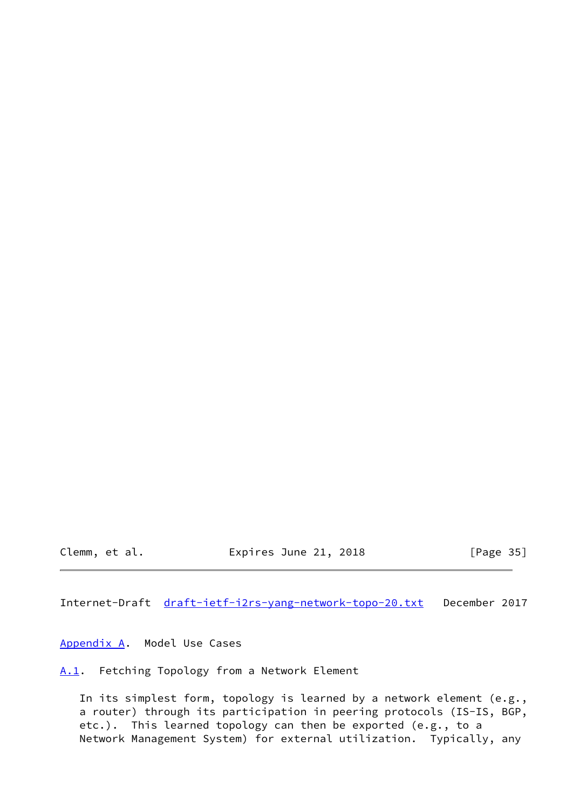Clemm, et al. Expires June 21, 2018 [Page 35]

<span id="page-39-1"></span>Internet-Draft [draft-ietf-i2rs-yang-network-topo-20.txt](https://datatracker.ietf.org/doc/pdf/draft-ietf-i2rs-yang-network-topo-20.txt) December 2017

<span id="page-39-0"></span>[Appendix A.](#page-39-0) Model Use Cases

<span id="page-39-2"></span>[A.1](#page-39-2). Fetching Topology from a Network Element

 In its simplest form, topology is learned by a network element (e.g., a router) through its participation in peering protocols (IS-IS, BGP, etc.). This learned topology can then be exported (e.g., to a Network Management System) for external utilization. Typically, any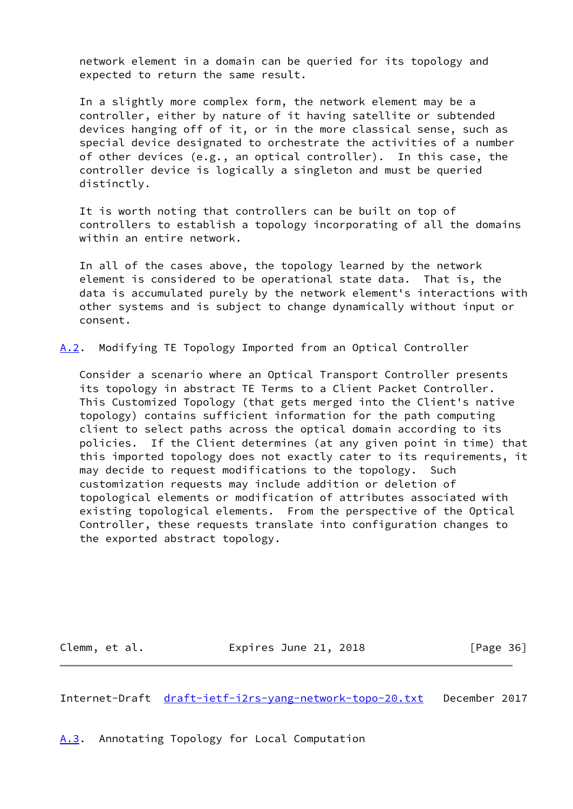network element in a domain can be queried for its topology and expected to return the same result.

 In a slightly more complex form, the network element may be a controller, either by nature of it having satellite or subtended devices hanging off of it, or in the more classical sense, such as special device designated to orchestrate the activities of a number of other devices (e.g., an optical controller). In this case, the controller device is logically a singleton and must be queried distinctly.

 It is worth noting that controllers can be built on top of controllers to establish a topology incorporating of all the domains within an entire network.

 In all of the cases above, the topology learned by the network element is considered to be operational state data. That is, the data is accumulated purely by the network element's interactions with other systems and is subject to change dynamically without input or consent.

<span id="page-40-2"></span>[A.2](#page-40-2). Modifying TE Topology Imported from an Optical Controller

 Consider a scenario where an Optical Transport Controller presents its topology in abstract TE Terms to a Client Packet Controller. This Customized Topology (that gets merged into the Client's native topology) contains sufficient information for the path computing client to select paths across the optical domain according to its policies. If the Client determines (at any given point in time) that this imported topology does not exactly cater to its requirements, it may decide to request modifications to the topology. Such customization requests may include addition or deletion of topological elements or modification of attributes associated with existing topological elements. From the perspective of the Optical Controller, these requests translate into configuration changes to the exported abstract topology.

Clemm, et al. **Expires June 21, 2018** [Page 36]

<span id="page-40-1"></span>Internet-Draft [draft-ietf-i2rs-yang-network-topo-20.txt](https://datatracker.ietf.org/doc/pdf/draft-ietf-i2rs-yang-network-topo-20.txt) December 2017

<span id="page-40-0"></span>[A.3](#page-40-0). Annotating Topology for Local Computation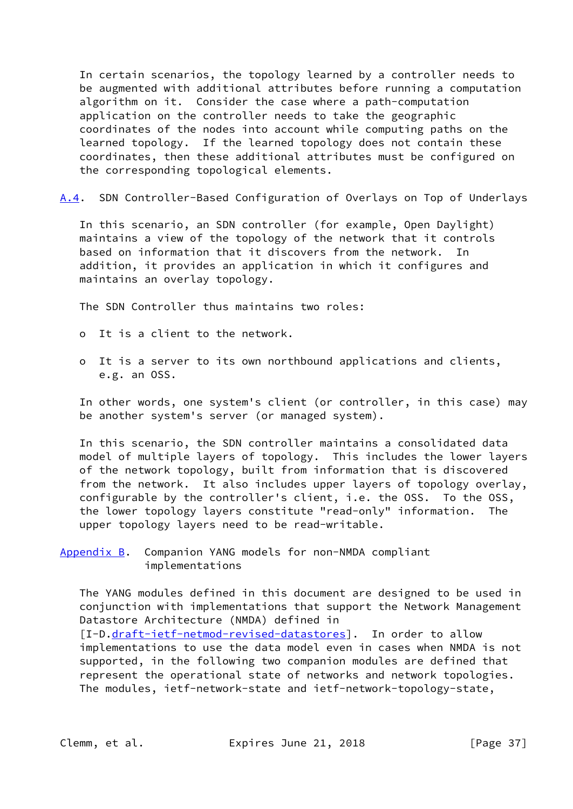In certain scenarios, the topology learned by a controller needs to be augmented with additional attributes before running a computation algorithm on it. Consider the case where a path-computation application on the controller needs to take the geographic coordinates of the nodes into account while computing paths on the learned topology. If the learned topology does not contain these coordinates, then these additional attributes must be configured on the corresponding topological elements.

<span id="page-41-1"></span>[A.4](#page-41-1). SDN Controller-Based Configuration of Overlays on Top of Underlays

 In this scenario, an SDN controller (for example, Open Daylight) maintains a view of the topology of the network that it controls based on information that it discovers from the network. In addition, it provides an application in which it configures and maintains an overlay topology.

The SDN Controller thus maintains two roles:

- o It is a client to the network.
- o It is a server to its own northbound applications and clients, e.g. an OSS.

 In other words, one system's client (or controller, in this case) may be another system's server (or managed system).

 In this scenario, the SDN controller maintains a consolidated data model of multiple layers of topology. This includes the lower layers of the network topology, built from information that is discovered from the network. It also includes upper layers of topology overlay, configurable by the controller's client, i.e. the OSS. To the OSS, the lower topology layers constitute "read-only" information. The upper topology layers need to be read-writable.

<span id="page-41-0"></span>[Appendix B.](#page-41-0) Companion YANG models for non-NMDA compliant implementations

 The YANG modules defined in this document are designed to be used in conjunction with implementations that support the Network Management Datastore Architecture (NMDA) defined in

[I-D[.draft-ietf-netmod-revised-datastores](https://datatracker.ietf.org/doc/pdf/draft-ietf-netmod-revised-datastores)]. In order to allow implementations to use the data model even in cases when NMDA is not supported, in the following two companion modules are defined that represent the operational state of networks and network topologies. The modules, ietf-network-state and ietf-network-topology-state,

Clemm, et al. **Expires June 21, 2018** [Page 37]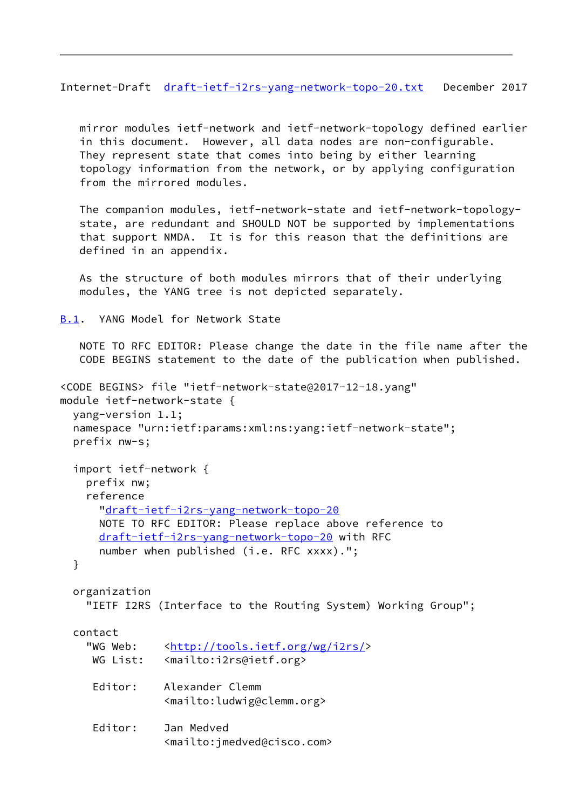<span id="page-42-1"></span>Internet-Draft [draft-ietf-i2rs-yang-network-topo-20.txt](https://datatracker.ietf.org/doc/pdf/draft-ietf-i2rs-yang-network-topo-20.txt) December 2017

 mirror modules ietf-network and ietf-network-topology defined earlier in this document. However, all data nodes are non-configurable. They represent state that comes into being by either learning topology information from the network, or by applying configuration from the mirrored modules.

 The companion modules, ietf-network-state and ietf-network-topology state, are redundant and SHOULD NOT be supported by implementations that support NMDA. It is for this reason that the definitions are defined in an appendix.

 As the structure of both modules mirrors that of their underlying modules, the YANG tree is not depicted separately.

<span id="page-42-0"></span>[B.1](#page-42-0). YANG Model for Network State

 NOTE TO RFC EDITOR: Please change the date in the file name after the CODE BEGINS statement to the date of the publication when published.

```
<CODE BEGINS> file "ietf-network-state@2017-12-18.yang"
module ietf-network-state {
  yang-version 1.1;
  namespace "urn:ietf:params:xml:ns:yang:ietf-network-state";
  prefix nw-s;
   import ietf-network {
    prefix nw;
     reference
       "draft-ietf-i2rs-yang-network-topo-20
       NOTE TO RFC EDITOR: Please replace above reference to
      draft-ietf-i2rs-yang-network-topo-20 with RFC
       number when published (i.e. RFC xxxx).";
  }
  organization
     "IETF I2RS (Interface to the Routing System) Working Group";
  contact
    <http://tools.ietf.org/wg/i2rs/>
    WG List: <mailto:i2rs@ietf.org>
     Editor: Alexander Clemm
                 <mailto:ludwig@clemm.org>
      Editor: Jan Medved
                 <mailto:jmedved@cisco.com>
```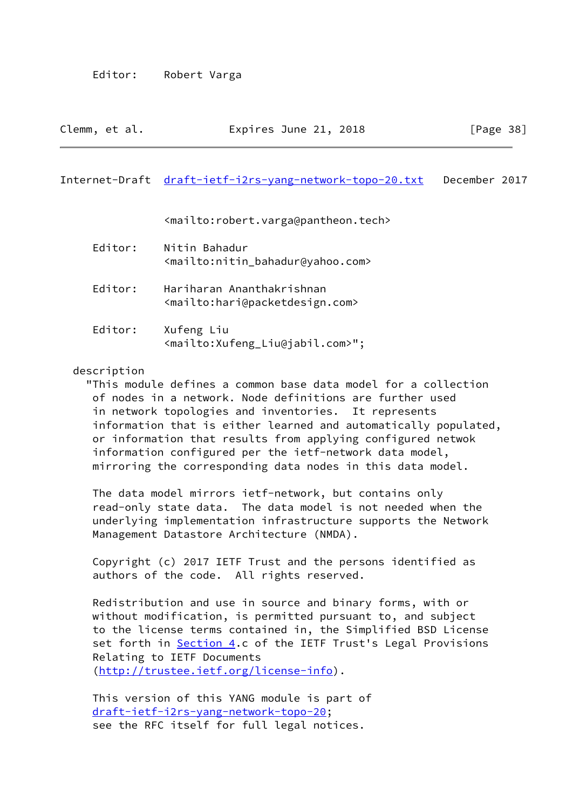| Clemm, et al. | Expires June 21, 2018 | [Page 38] |
|---------------|-----------------------|-----------|
|---------------|-----------------------|-----------|

#### Internet-Draft [draft-ietf-i2rs-yang-network-topo-20.txt](https://datatracker.ietf.org/doc/pdf/draft-ietf-i2rs-yang-network-topo-20.txt) December 2017

<mailto:robert.varga@pantheon.tech>

| Editor: | Nitin Bahadur<br><mailto:nitin_bahadur@yahoo.com></mailto:nitin_bahadur@yahoo.com>         |
|---------|--------------------------------------------------------------------------------------------|
| Editor: | Hariharan Ananthakrishnan<br><mailto:hari@packetdesign.com></mailto:hari@packetdesign.com> |
| Editor: | Xufeng Liu<br><mailto:xufeng_liu@jabil.com>";</mailto:xufeng_liu@jabil.com>                |

## description

 "This module defines a common base data model for a collection of nodes in a network. Node definitions are further used in network topologies and inventories. It represents information that is either learned and automatically populated, or information that results from applying configured netwok information configured per the ietf-network data model, mirroring the corresponding data nodes in this data model.

 The data model mirrors ietf-network, but contains only read-only state data. The data model is not needed when the underlying implementation infrastructure supports the Network Management Datastore Architecture (NMDA).

 Copyright (c) 2017 IETF Trust and the persons identified as authors of the code. All rights reserved.

 Redistribution and use in source and binary forms, with or without modification, is permitted pursuant to, and subject to the license terms contained in, the Simplified BSD License set forth in [Section 4.](#page-8-0)c of the IETF Trust's Legal Provisions Relating to IETF Documents ([http://trustee.ietf.org/license-info\)](http://trustee.ietf.org/license-info).

 This version of this YANG module is part of [draft-ietf-i2rs-yang-network-topo-20](https://datatracker.ietf.org/doc/pdf/draft-ietf-i2rs-yang-network-topo-20); see the RFC itself for full legal notices.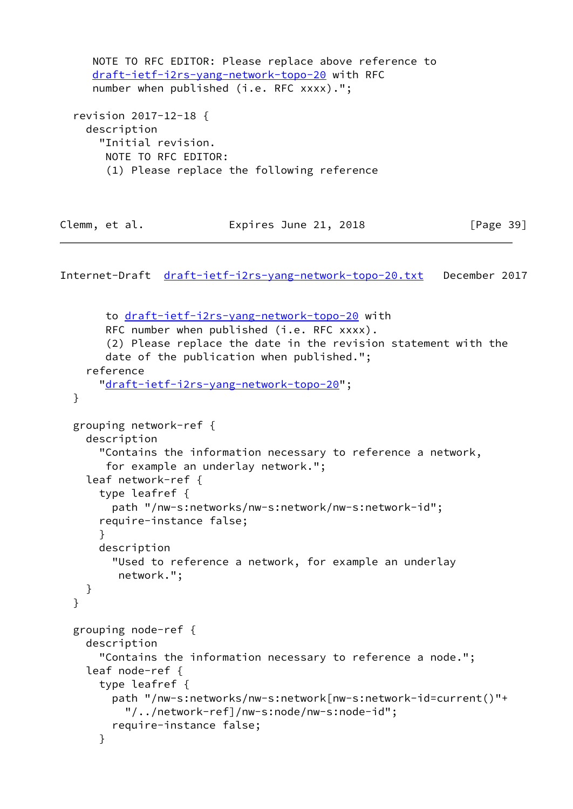```
 NOTE TO RFC EDITOR: Please replace above reference to
    draft-ietf-i2rs-yang-network-topo-20 with RFC
   number when published (i.e. RFC xxxx).";
 revision 2017-12-18 {
   description
     "Initial revision.
      NOTE TO RFC EDITOR:
      (1) Please replace the following reference
```

| Clemm, et al. | Expires June 21, 2018 | [Page 39] |
|---------------|-----------------------|-----------|
|---------------|-----------------------|-----------|

```
 to draft-ietf-i2rs-yang-network-topo-20 with
     RFC number when published (i.e. RFC xxxx).
      (2) Please replace the date in the revision statement with the
      date of the publication when published.";
   reference
     "draft-ietf-i2rs-yang-network-topo-20";
 }
 grouping network-ref {
   description
     "Contains the information necessary to reference a network,
      for example an underlay network.";
   leaf network-ref {
     type leafref {
       path "/nw-s:networks/nw-s:network/nw-s:network-id";
     require-instance false;
     }
     description
       "Used to reference a network, for example an underlay
        network.";
   }
 }
 grouping node-ref {
   description
     "Contains the information necessary to reference a node.";
   leaf node-ref {
     type leafref {
       path "/nw-s:networks/nw-s:network[nw-s:network-id=current()"+
         "/../network-ref]/nw-s:node/nw-s:node-id";
       require-instance false;
     }
```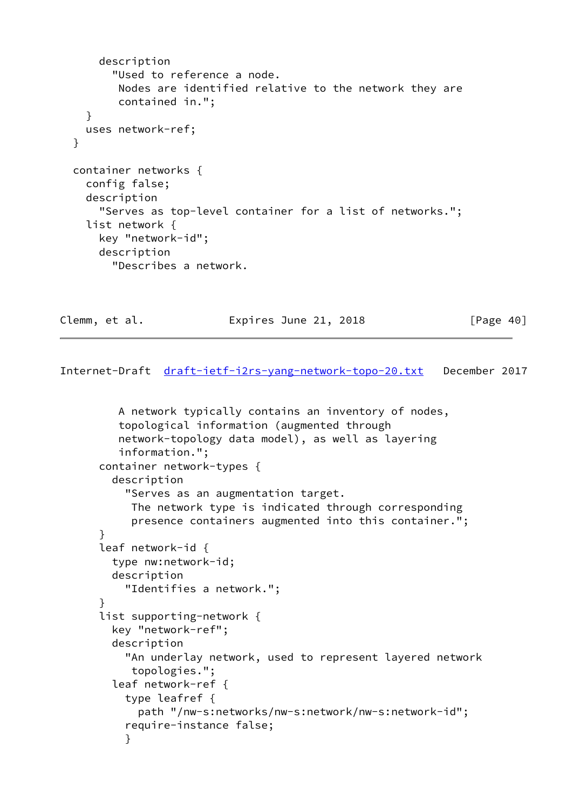```
 description
       "Used to reference a node.
        Nodes are identified relative to the network they are
        contained in.";
   }
   uses network-ref;
 }
 container networks {
   config false;
   description
     "Serves as top-level container for a list of networks.";
   list network {
     key "network-id";
     description
       "Describes a network.
```
Clemm, et al. **Expires June 21, 2018** [Page 40]

```
 A network typically contains an inventory of nodes,
          topological information (augmented through
          network-topology data model), as well as layering
          information.";
       container network-types {
         description
           "Serves as an augmentation target.
            The network type is indicated through corresponding
            presence containers augmented into this container.";
       }
       leaf network-id {
         type nw:network-id;
         description
           "Identifies a network.";
       }
       list supporting-network {
         key "network-ref";
         description
           "An underlay network, used to represent layered network
            topologies.";
         leaf network-ref {
           type leafref {
             path "/nw-s:networks/nw-s:network/nw-s:network-id";
           require-instance false;
 }
```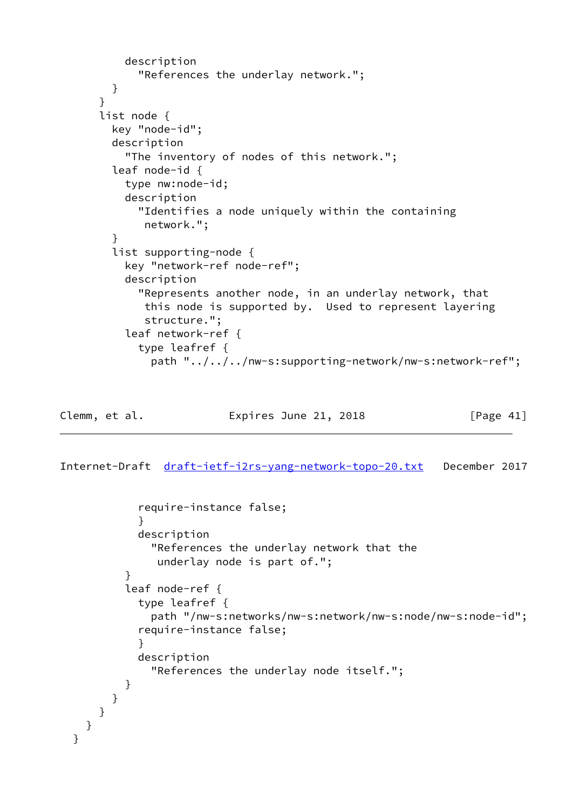```
 description
       "References the underlay network.";
   }
 }
 list node {
  key "node-id";
   description
     "The inventory of nodes of this network.";
   leaf node-id {
     type nw:node-id;
     description
       "Identifies a node uniquely within the containing
        network.";
   }
   list supporting-node {
     key "network-ref node-ref";
     description
       "Represents another node, in an underlay network, that
        this node is supported by. Used to represent layering
        structure.";
     leaf network-ref {
       type leafref {
         path "../../../nw-s:supporting-network/nw-s:network-ref";
```
Clemm, et al. **Expires June 21, 2018** [Page 41]

<span id="page-46-0"></span>Internet-Draft [draft-ietf-i2rs-yang-network-topo-20.txt](https://datatracker.ietf.org/doc/pdf/draft-ietf-i2rs-yang-network-topo-20.txt) December 2017

```
 require-instance false;
 }
            description
              "References the underlay network that the
               underlay node is part of.";
          }
          leaf node-ref {
            type leafref {
              path "/nw-s:networks/nw-s:network/nw-s:node/nw-s:node-id";
            require-instance false;
 }
            description
              "References the underlay node itself.";
 }
        }
     }
    }
  }
```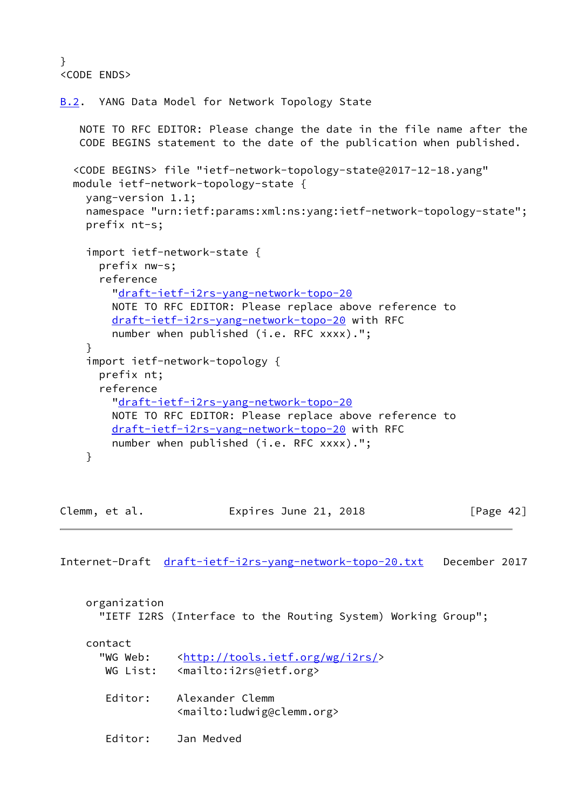```
}
<CODE ENDS>
```

```
B.2. YANG Data Model for Network Topology State
    NOTE TO RFC EDITOR: Please change the date in the file name after the
    CODE BEGINS statement to the date of the publication when published.
   <CODE BEGINS> file "ietf-network-topology-state@2017-12-18.yang"
   module ietf-network-topology-state {
     yang-version 1.1;
    namespace "urn:ietf:params:xml:ns:yang:ietf-network-topology-state";
     prefix nt-s;
     import ietf-network-state {
       prefix nw-s;
       reference
         "draft-ietf-i2rs-yang-network-topo-20
         NOTE TO RFC EDITOR: Please replace above reference to
         draft-ietf-i2rs-yang-network-topo-20 with RFC
         number when published (i.e. RFC xxxx).";
     }
     import ietf-network-topology {
       prefix nt;
       reference
         "draft-ietf-i2rs-yang-network-topo-20
         NOTE TO RFC EDITOR: Please replace above reference to
         draft-ietf-i2rs-yang-network-topo-20 with RFC
         number when published (i.e. RFC xxxx).";
     }
```

| Clemm, et al. | Expires June 21, 2018 | [Page 42] |
|---------------|-----------------------|-----------|
|               |                       |           |

| organization                    | "IETF I2RS (Interface to the Routing System) Working Group";                                     |
|---------------------------------|--------------------------------------------------------------------------------------------------|
| contact<br>"WG Web:<br>WG List: | <http: i2rs="" tools.ietf.org="" wg=""></http:><br><mailto:i2rs@ietf.org></mailto:i2rs@ietf.org> |
| Editor:                         | Alexander Clemm<br><mailto:ludwig@clemm.org></mailto:ludwig@clemm.org>                           |
| Fditor:                         | Jan Medved                                                                                       |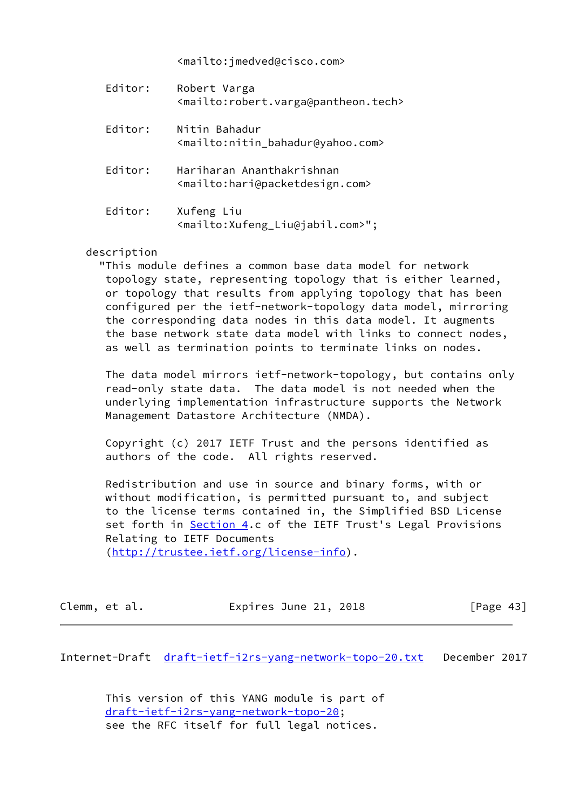<mailto:jmedved@cisco.com>

| Editor: | Robert Varga<br><mailto:robert.varga@pantheon.tech></mailto:robert.varga@pantheon.tech>    |
|---------|--------------------------------------------------------------------------------------------|
| Editor: | Nitin Bahadur<br><mailto:nitin_bahadur@yahoo.com></mailto:nitin_bahadur@yahoo.com>         |
| Editor: | Hariharan Ananthakrishnan<br><mailto:hari@packetdesign.com></mailto:hari@packetdesign.com> |
| Editor: | Xufeng Liu<br><mailto:xufeng_liu@jabil.com>";</mailto:xufeng_liu@jabil.com>                |

### description

 "This module defines a common base data model for network topology state, representing topology that is either learned, or topology that results from applying topology that has been configured per the ietf-network-topology data model, mirroring the corresponding data nodes in this data model. It augments the base network state data model with links to connect nodes, as well as termination points to terminate links on nodes.

 The data model mirrors ietf-network-topology, but contains only read-only state data. The data model is not needed when the underlying implementation infrastructure supports the Network Management Datastore Architecture (NMDA).

 Copyright (c) 2017 IETF Trust and the persons identified as authors of the code. All rights reserved.

 Redistribution and use in source and binary forms, with or without modification, is permitted pursuant to, and subject to the license terms contained in, the Simplified BSD License set forth in **Section 4.c** of the IETF Trust's Legal Provisions Relating to IETF Documents [\(http://trustee.ietf.org/license-info](http://trustee.ietf.org/license-info)).

Clemm, et al. **Expires June 21, 2018** [Page 43]

Internet-Draft [draft-ietf-i2rs-yang-network-topo-20.txt](https://datatracker.ietf.org/doc/pdf/draft-ietf-i2rs-yang-network-topo-20.txt) December 2017

 This version of this YANG module is part of [draft-ietf-i2rs-yang-network-topo-20;](https://datatracker.ietf.org/doc/pdf/draft-ietf-i2rs-yang-network-topo-20) see the RFC itself for full legal notices.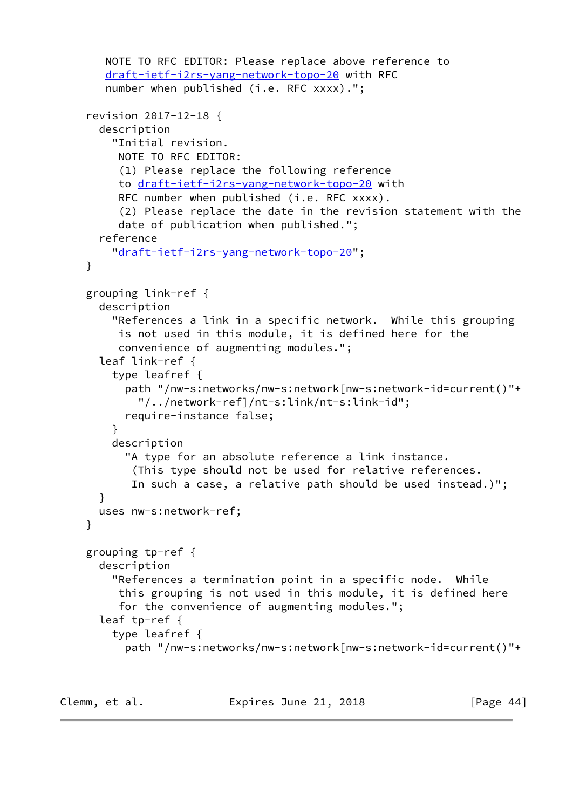```
 NOTE TO RFC EDITOR: Please replace above reference to
    draft-ietf-i2rs-yang-network-topo-20 with RFC
   number when published (i.e. RFC xxxx).";
 revision 2017-12-18 {
   description
     "Initial revision.
      NOTE TO RFC EDITOR:
      (1) Please replace the following reference
      to draft-ietf-i2rs-yang-network-topo-20 with
     RFC number when published (i.e. RFC xxxx).
      (2) Please replace the date in the revision statement with the
      date of publication when published.";
   reference
     "draft-ietf-i2rs-yang-network-topo-20";
 }
 grouping link-ref {
  description
     "References a link in a specific network. While this grouping
      is not used in this module, it is defined here for the
      convenience of augmenting modules.";
   leaf link-ref {
     type leafref {
       path "/nw-s:networks/nw-s:network[nw-s:network-id=current()"+
         "/../network-ref]/nt-s:link/nt-s:link-id";
       require-instance false;
     }
     description
       "A type for an absolute reference a link instance.
        (This type should not be used for relative references.
        In such a case, a relative path should be used instead.)";
   }
  uses nw-s:network-ref;
 }
 grouping tp-ref {
  description
     "References a termination point in a specific node. While
      this grouping is not used in this module, it is defined here
      for the convenience of augmenting modules.";
   leaf tp-ref {
     type leafref {
       path "/nw-s:networks/nw-s:network[nw-s:network-id=current()"+
```

```
Clemm, et al. Expires June 21, 2018 [Page 44]
```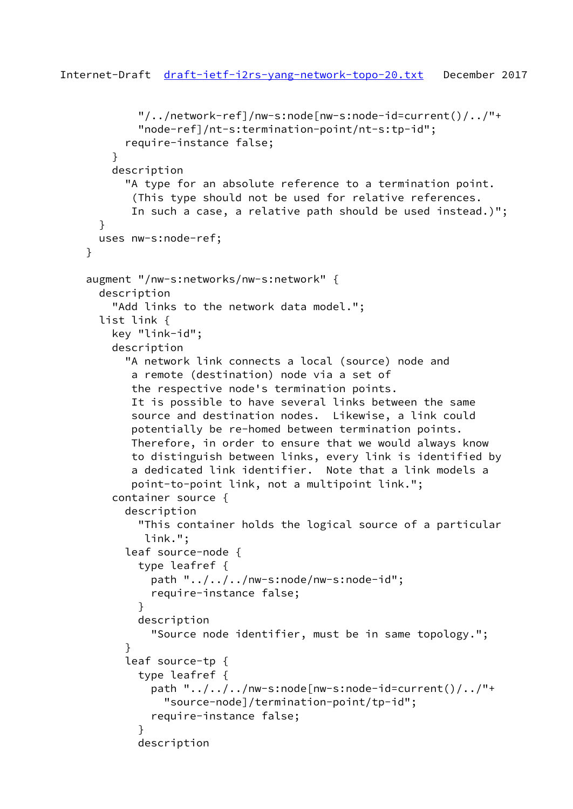```
 "/../network-ref]/nw-s:node[nw-s:node-id=current()/../"+
             "node-ref]/nt-s:termination-point/nt-s:tp-id";
           require-instance false;
         }
         description
           "A type for an absolute reference to a termination point.
            (This type should not be used for relative references.
            In such a case, a relative path should be used instead.)";
       }
      uses nw-s:node-ref;
     }
     augment "/nw-s:networks/nw-s:network" {
       description
         "Add links to the network data model.";
       list link {
         key "link-id";
         description
           "A network link connects a local (source) node and
            a remote (destination) node via a set of
            the respective node's termination points.
            It is possible to have several links between the same
            source and destination nodes. Likewise, a link could
            potentially be re-homed between termination points.
            Therefore, in order to ensure that we would always know
            to distinguish between links, every link is identified by
            a dedicated link identifier. Note that a link models a
            point-to-point link, not a multipoint link.";
         container source {
           description
             "This container holds the logical source of a particular
              link.";
           leaf source-node {
             type leafref {
               path "../../../nw-s:node/nw-s:node-id";
               require-instance false;
 }
             description
               "Source node identifier, must be in same topology.";
 }
           leaf source-tp {
             type leafref {
              path "\ldots/\ldots/nw-s:node[nw-s:node-id=current()/\ldots/"+
                 "source-node]/termination-point/tp-id";
               require-instance false;
 }
             description
```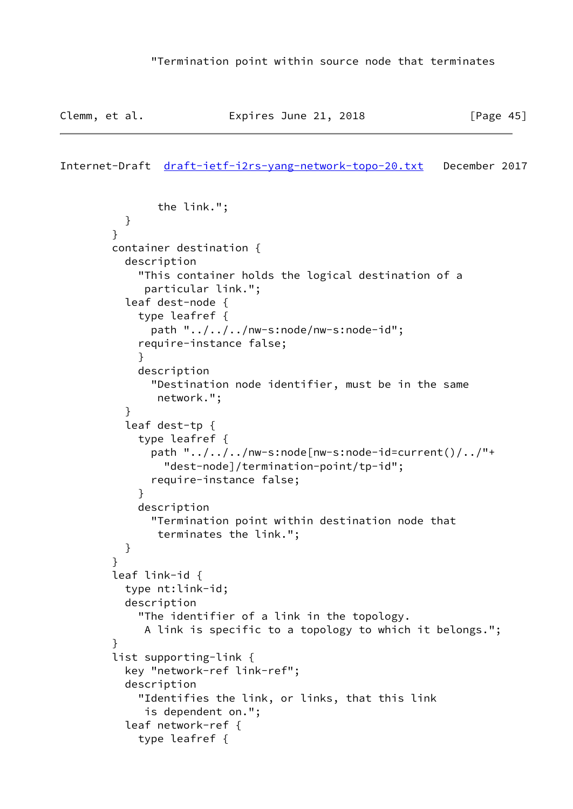```
Internet-Draft draft-ietf-i2rs-yang-network-topo-20.txt December 2017
```

```
 the link.";
 }
 }
        container destination {
          description
             "This container holds the logical destination of a
             particular link.";
          leaf dest-node {
             type leafref {
               path "../../../nw-s:node/nw-s:node-id";
             require-instance false;
 }
             description
               "Destination node identifier, must be in the same
                network.";
 }
           leaf dest-tp {
             type leafref {
              path "\ldots/\ldots/nw-s:node[nw-s:node-id=current()/\ldots/"+
                 "dest-node]/termination-point/tp-id";
               require-instance false;
 }
             description
               "Termination point within destination node that
                terminates the link.";
          }
         }
         leaf link-id {
          type nt:link-id;
          description
             "The identifier of a link in the topology.
             A link is specific to a topology to which it belongs.";
 }
        list supporting-link {
          key "network-ref link-ref";
          description
             "Identifies the link, or links, that this link
             is dependent on.";
           leaf network-ref {
             type leafref {
```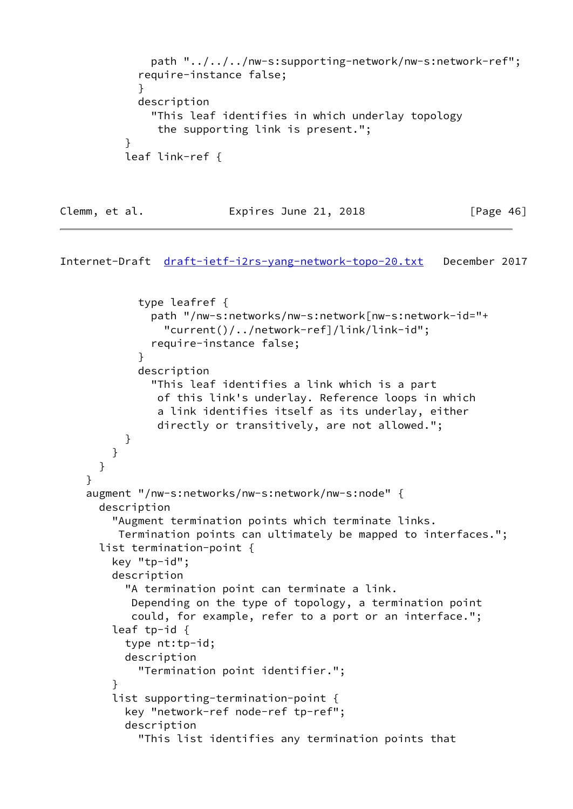```
 path "../../../nw-s:supporting-network/nw-s:network-ref";
            require-instance false;
 }
            description
              "This leaf identifies in which underlay topology
               the supporting link is present.";
 }
          leaf link-ref {
```
# Clemm, et al. **Expires June 21, 2018** [Page 46]

```
Internet-Draft draft-ietf-i2rs-yang-network-topo-20.txt December 2017
```

```
 type leafref {
               path "/nw-s:networks/nw-s:network[nw-s:network-id="+
                 "current()/../network-ref]/link/link-id";
               require-instance false;
 }
             description
               "This leaf identifies a link which is a part
                of this link's underlay. Reference loops in which
                a link identifies itself as its underlay, either
                directly or transitively, are not allowed.";
           }
        }
      }
     }
     augment "/nw-s:networks/nw-s:network/nw-s:node" {
       description
         "Augment termination points which terminate links.
          Termination points can ultimately be mapped to interfaces.";
       list termination-point {
         key "tp-id";
         description
           "A termination point can terminate a link.
            Depending on the type of topology, a termination point
            could, for example, refer to a port or an interface.";
         leaf tp-id {
           type nt:tp-id;
           description
             "Termination point identifier.";
 }
         list supporting-termination-point {
           key "network-ref node-ref tp-ref";
           description
             "This list identifies any termination points that
```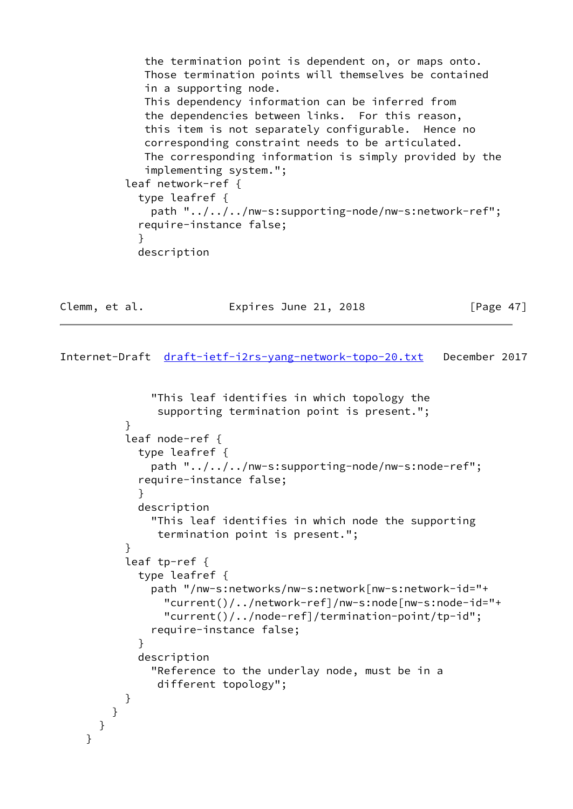```
 the termination point is dependent on, or maps onto.
              Those termination points will themselves be contained
              in a supporting node.
              This dependency information can be inferred from
              the dependencies between links. For this reason,
              this item is not separately configurable. Hence no
              corresponding constraint needs to be articulated.
              The corresponding information is simply provided by the
              implementing system.";
           leaf network-ref {
             type leafref {
               path "../../../nw-s:supporting-node/nw-s:network-ref";
             require-instance false;
 }
             description
```
Clemm, et al. **Expires June 21, 2018** [Page 47]

```
 "This leaf identifies in which topology the
               supporting termination point is present.";
 }
          leaf node-ref {
            type leafref {
              path "../../../nw-s:supporting-node/nw-s:node-ref";
            require-instance false;
 }
            description
              "This leaf identifies in which node the supporting
               termination point is present.";
 }
          leaf tp-ref {
            type leafref {
              path "/nw-s:networks/nw-s:network[nw-s:network-id="+
                "current()/../network-ref]/nw-s:node[nw-s:node-id="+
                "current()/../node-ref]/termination-point/tp-id";
              require-instance false;
 }
            description
              "Reference to the underlay node, must be in a
               different topology";
          }
        }
      }
    }
```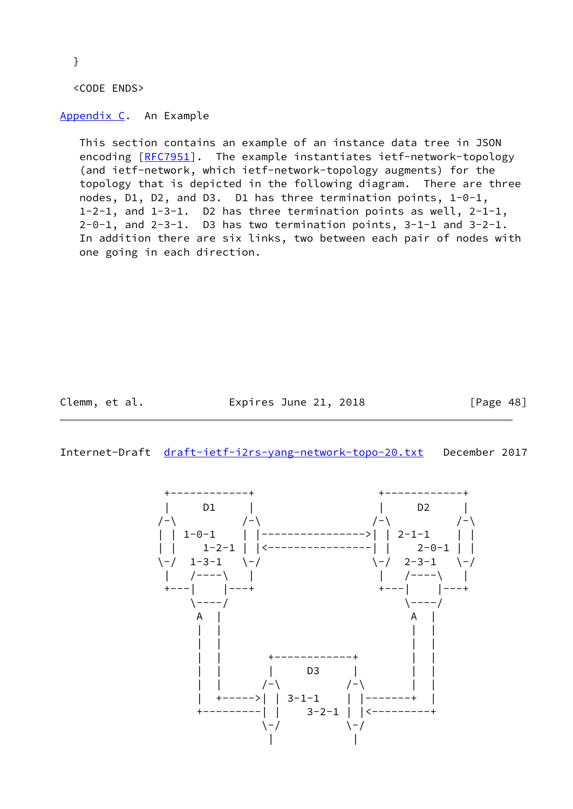}

<CODE ENDS>

<span id="page-54-0"></span>[Appendix C.](#page-54-0) An Example

 This section contains an example of an instance data tree in JSON encoding [\[RFC7951](https://datatracker.ietf.org/doc/pdf/rfc7951)]. The example instantiates ietf-network-topology (and ietf-network, which ietf-network-topology augments) for the topology that is depicted in the following diagram. There are three nodes, D1, D2, and D3. D1 has three termination points, 1-0-1, 1-2-1, and 1-3-1. D2 has three termination points as well, 2-1-1, 2-0-1, and 2-3-1. D3 has two termination points, 3-1-1 and 3-2-1. In addition there are six links, two between each pair of nodes with one going in each direction.

Clemm, et al. **Expires June 21, 2018** [Page 48]

Internet-Draft [draft-ietf-i2rs-yang-network-topo-20.txt](https://datatracker.ietf.org/doc/pdf/draft-ietf-i2rs-yang-network-topo-20.txt) December 2017

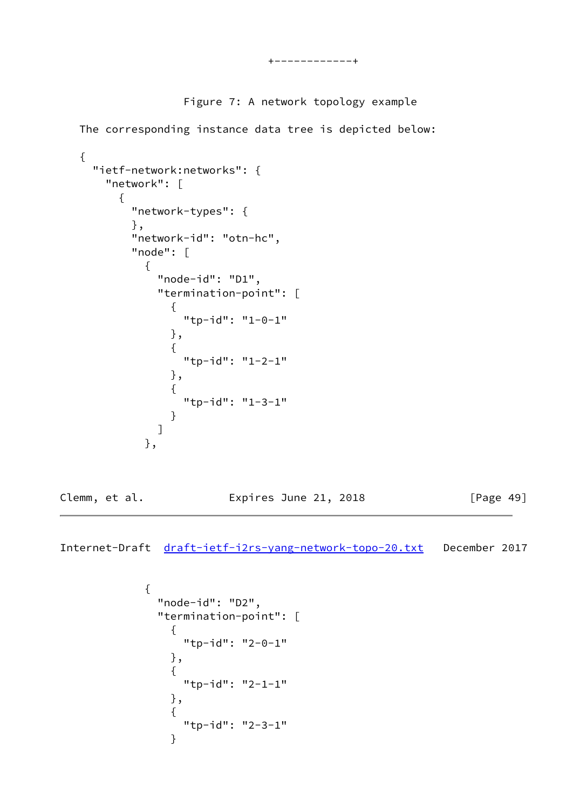# Figure 7: A network topology example

The corresponding instance data tree is depicted below:

```
 {
    "ietf-network:networks": {
      "network": [
       {
         "network-types": {
         },
         "network-id": "otn-hc",
         "node": [
\{ "node-id": "D1",
            "termination-point": [
\{ "tp-id": "1-0-1"
             },
\{ "tp-id": "1-2-1"
             },
\{ "tp-id": "1-3-1"
 }
 ]
          },
Clemm, et al. Expires June 21, 2018 [Page 49]
```

```
\{ "node-id": "D2",
          "termination-point": [
\{ "tp-id": "2-0-1"
           },
\{ "tp-id": "2-1-1"
           },
\{ "tp-id": "2-3-1"
 }
```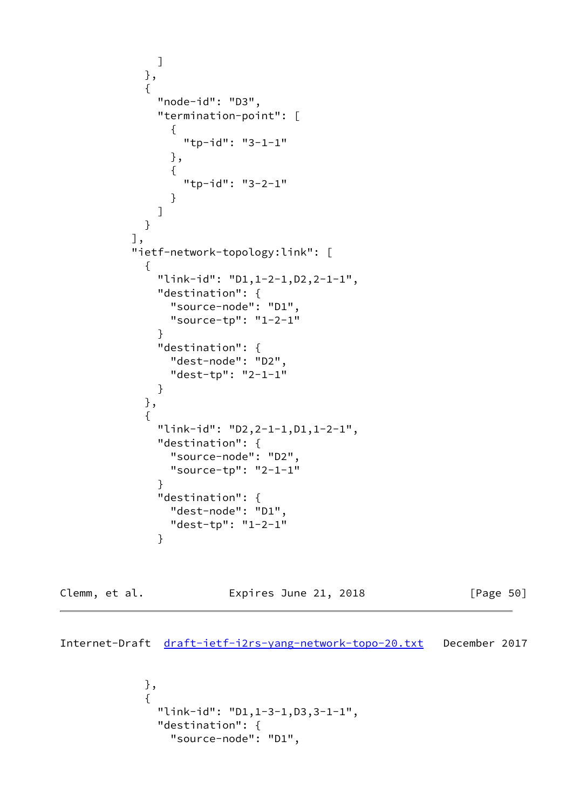```
 ]
          },
\{ "node-id": "D3",
            "termination-point": [
\{ "tp-id": "3-1-1"
              },
\{ "tp-id": "3-2-1"
 }
 ]
 }
         ],
         "ietf-network-topology:link": [
\{ "link-id": "D1,1-2-1,D2,2-1-1",
            "destination": {
              "source-node": "D1",
              "source-tp": "1-2-1"
 }
            "destination": {
              "dest-node": "D2",
             "dest-tp": "2-1-1"
 }
          },
\{ "link-id": "D2,2-1-1,D1,1-2-1",
            "destination": {
              "source-node": "D2",
              "source-tp": "2-1-1"
 }
            "destination": {
              "dest-node": "D1",
              "dest-tp": "1-2-1"
 }
```
Clemm, et al. Expires June 21, 2018 [Page 50]

```
 },
\{ "link-id": "D1,1-3-1,D3,3-1-1",
              "destination": {
                "source-node": "D1",
```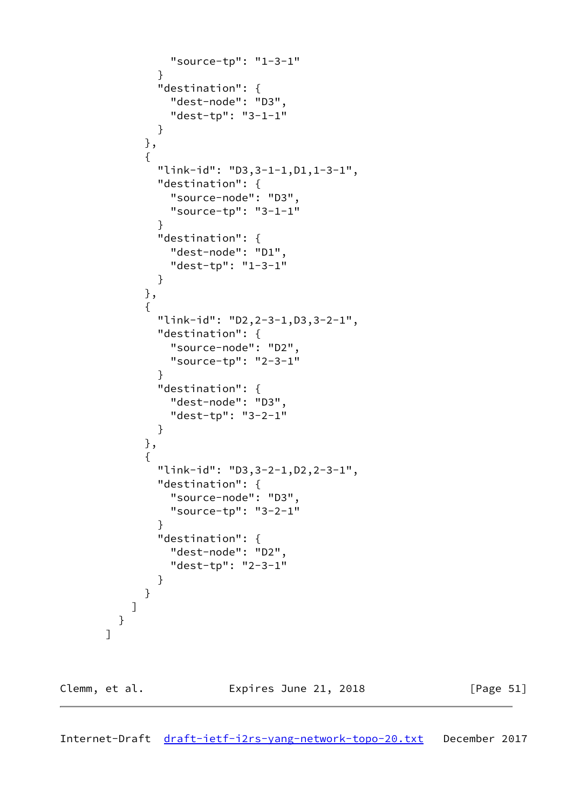```
 "source-tp": "1-3-1"
 }
             "destination": {
               "dest-node": "D3",
               "dest-tp": "3-1-1"
 }
            },
\{ "link-id": "D3,3-1-1,D1,1-3-1",
             "destination": {
               "source-node": "D3",
               "source-tp": "3-1-1"
 }
             "destination": {
               "dest-node": "D1",
               "dest-tp": "1-3-1"
 }
            },
\{ "link-id": "D2,2-3-1,D3,3-2-1",
             "destination": {
               "source-node": "D2",
               "source-tp": "2-3-1"
 }
             "destination": {
               "dest-node": "D3",
               "dest-tp": "3-2-1"
 }
            },
\{ "link-id": "D3,3-2-1,D2,2-3-1",
             "destination": {
               "source-node": "D3",
               "source-tp": "3-2-1"
 }
             "destination": {
               "dest-node": "D2",
               "dest-tp": "2-3-1"
 }
           }
          ]
        }
```
<span id="page-57-0"></span>

]

Clemm, et al. **Expires June 21, 2018** [Page 51]